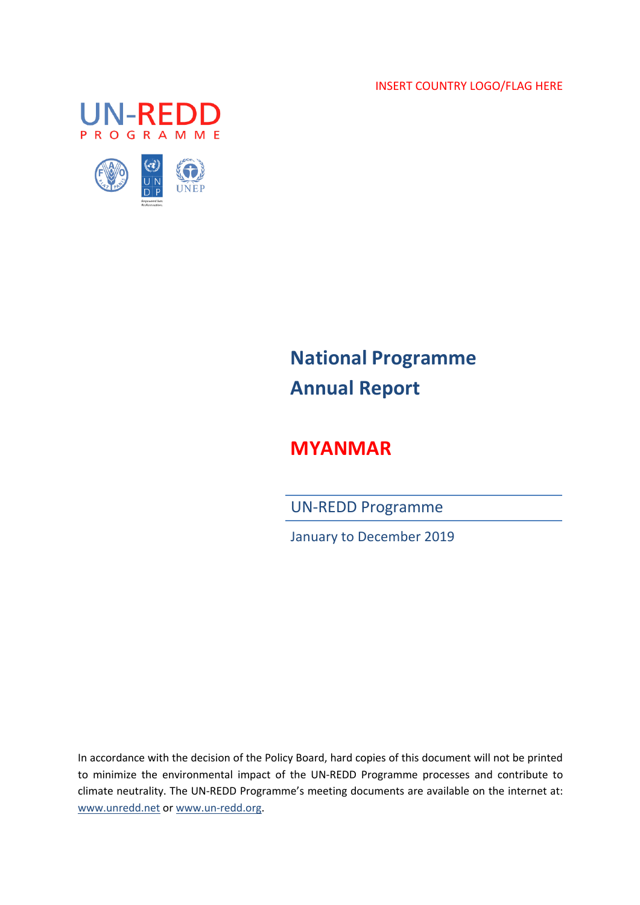INSERT COUNTRY LOGO/FLAG HERE





# **National Programme Annual Report**

## **MYANMAR**

UN-REDD Programme

January to December 2019

In accordance with the decision of the Policy Board, hard copies of this document will not be printed to minimize the environmental impact of the UN-REDD Programme processes and contribute to climate neutrality. The UN-REDD Programme's meeting documents are available on the internet at: www.unredd.net or www.un-redd.org.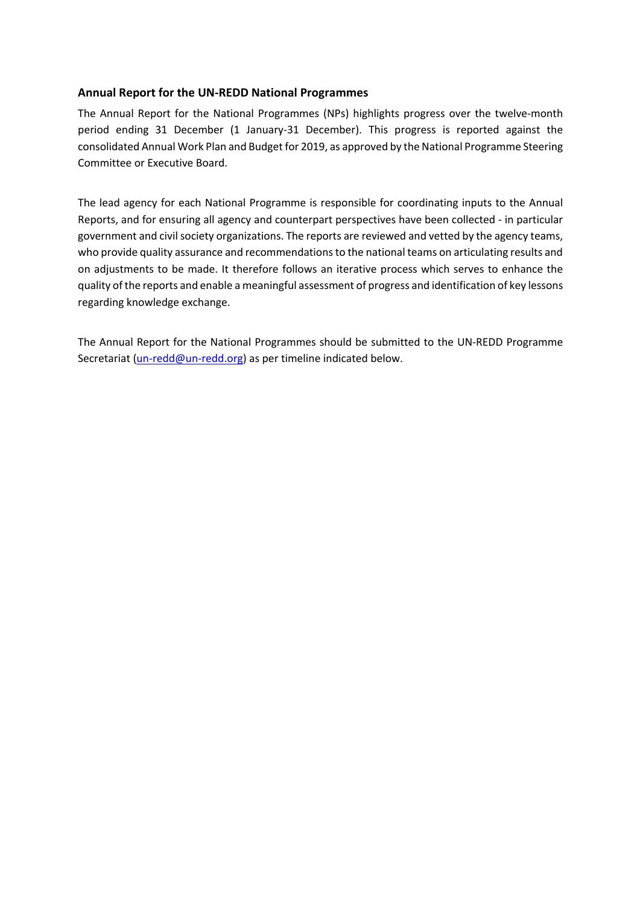### **Annual Report for the UN-REDD National Programmes**

The Annual Report for the National Programmes (NPs) highlights progress over the twelve-month period ending 31 December (1 January-31 December). This progress is reported against the consolidated Annual Work Plan and Budget for 2019, as approved by the National Programme Steering Committee or Executive Board.

The lead agency for each National Programme is responsible for coordinating inputs to the Annual Reports, and for ensuring all agency and counterpart perspectives have been collected - in particular government and civil society organizations. The reports are reviewed and vetted by the agency teams, who provide quality assurance and recommendations to the national teams on articulating results and on adjustments to be made. It therefore follows an iterative process which serves to enhance the quality of the reports and enable a meaningful assessment of progress and identification of key lessons regarding knowledge exchange.

The Annual Report for the National Programmes should be submitted to the UN-REDD Programme Secretariat (un-redd@un-redd.org) as per timeline indicated below.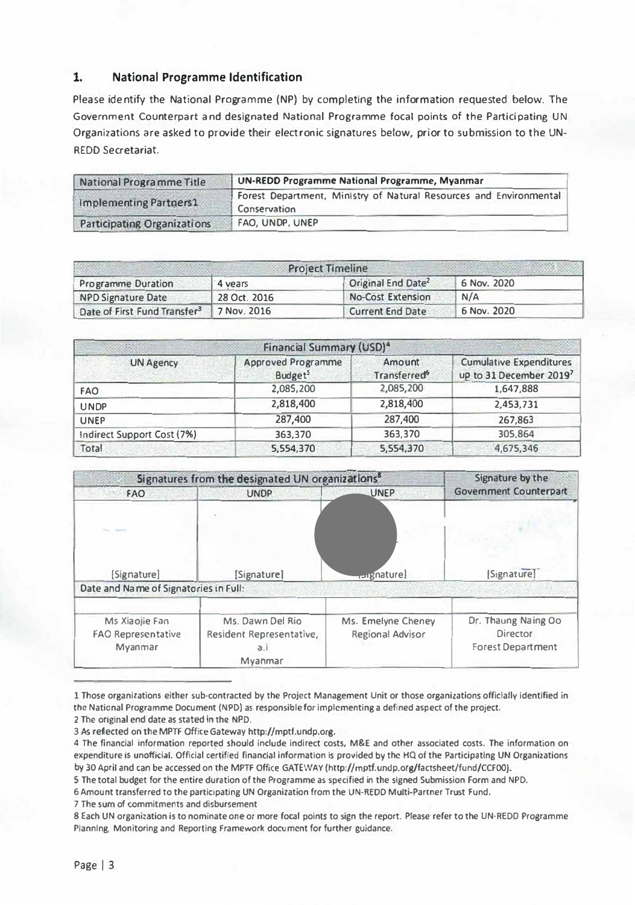### **1. National Programme ldentification**

Please identify the National Programme (NP) by completing the information requested below. The Government Counterpart and designated National Programme focal points of the Participating UN Organizations are asked to provide their electronic signatures below, prior to submission to the UN-REDD Secretariat.

| National Programme Title           | UN-REDD Programme National Programme, Myanmar                                             |  |
|------------------------------------|-------------------------------------------------------------------------------------------|--|
| Implementing Partners1             | Forest Department, Ministry of Natural Resources and Environmental<br><b>Conservation</b> |  |
| <b>Participating Organizations</b> | FAO, UNDP, UNEP                                                                           |  |

| <b>Project Timeline</b>                  |              |                                |             |  |
|------------------------------------------|--------------|--------------------------------|-------------|--|
| <b>Programme Duration</b>                | 4 years      | Original End Date <sup>2</sup> | 6 Nov. 2020 |  |
| <b>NPD Signature Date</b>                | 28 Oct. 2016 | <b>No-Cost Extension</b>       | N/A         |  |
| Date of First Fund Transfer <sup>3</sup> | 7 Nov. 2016  | <b>Current End Date</b>        | 6 Nov. 2020 |  |

| Financial Summary (USD) <sup>4</sup> |                                                  |                                          |                                                           |  |
|--------------------------------------|--------------------------------------------------|------------------------------------------|-----------------------------------------------------------|--|
| <b>UN Agency</b>                     | <b>Approved Programme</b><br>Budget <sup>5</sup> | Amount<br><b>Transferred<sup>6</sup></b> | <b>Cumulative Expenditures</b><br>up to 31 December 20197 |  |
| <b>FAO</b>                           | 2,085,200                                        | 2,085,200                                | 1,647,888                                                 |  |
| <b>UNDP</b>                          | 2,818,400                                        | 2,818,400                                | 2,453,731                                                 |  |
| <b>UNEP</b>                          | 287,400                                          | 287,400                                  | 267,863                                                   |  |
| Indirect Support Cost (7%)           | 363,370                                          | 363,370                                  | 305,864                                                   |  |
| Total                                | 5,554,370                                        | 5,554,370                                | 4,675,346                                                 |  |

|                                                        | Signatures from the designated UN organizations <sup>8</sup>              |                                               | Signature by the                                                   |
|--------------------------------------------------------|---------------------------------------------------------------------------|-----------------------------------------------|--------------------------------------------------------------------|
| <b>FAO</b>                                             | <b>UNDP</b>                                                               | <b>UNEP</b>                                   | <b>Government Counterpart</b>                                      |
| [Signature]<br>Date and Name of Signatories in Full:   | [Signature]                                                               | torgnature)                                   | [Signature]                                                        |
|                                                        |                                                                           |                                               |                                                                    |
| Ms Xiaolie Fan<br><b>FAO Representative</b><br>Myanmar | Ms. Dawn Del Rio<br>Resident Representative,<br>a <sub>l</sub><br>Myanmar | Ms. Emelyne Cheney<br><b>Regional Advisor</b> | Dr. Thaung Naing Oo<br><b>Director</b><br><b>Forest Department</b> |

<sup>1</sup> Those organizations either sub•contracted by the Project Management Unit or those organizations officially identified in **the National Programme Oocument (NPD) as responsible for implcmenting a defined aspect of the project.** 

2 The original end date as stated in the NPD.

*3* As reflected on the MPTF Office Gatewav http://mptf.undp.org.

**7 The sum of commitments and disbursement** 

**8 Each UN organization is to nomlnate one or more focal points to sign the report. Please refer to the UN-REDO Programme Planning, Monitoring and Reporting Framework document for further guidance.** 

**<sup>4</sup> The financia! lnformation report!!d should indude indirect costs, M&E and other associated costs. The information on expenditure Is unoffidal. Official certified financia! information is provided** by **thc HQ of the Participatlng UN Organizations** by 30April and can be accessed on the MPTF Office GATEWAY (http://mptf.undp.org/factsheet/fund/CCFOO).

**S The total budget for the entire duration of the Programme as spedfled in the signed Submission Form and NPD.** 

<sup>6</sup> Amount transferred to the participating UN Organization from the UN-REDD Multi-Partner Trust Fund.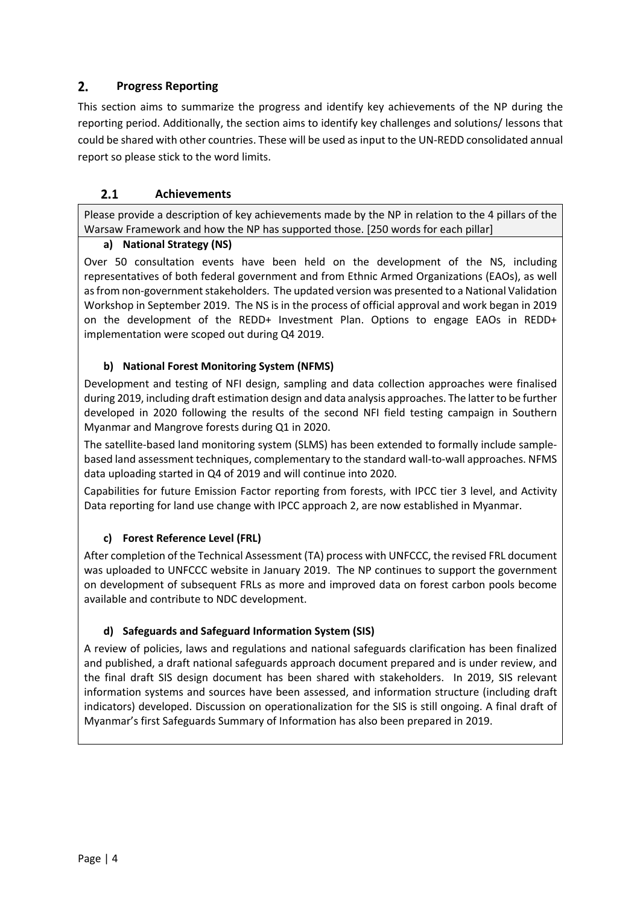#### $2.$ **Progress Reporting**

This section aims to summarize the progress and identify key achievements of the NP during the reporting period. Additionally, the section aims to identify key challenges and solutions/ lessons that could be shared with other countries. These will be used as input to the UN-REDD consolidated annual report so please stick to the word limits.

#### $2.1$ **Achievements**

Please provide a description of key achievements made by the NP in relation to the 4 pillars of the Warsaw Framework and how the NP has supported those. [250 words for each pillar]

### **a) National Strategy (NS)**

Over 50 consultation events have been held on the development of the NS, including representatives of both federal government and from Ethnic Armed Organizations (EAOs), as well as from non-government stakeholders. The updated version was presented to a National Validation Workshop in September 2019. The NS is in the process of official approval and work began in 2019 on the development of the REDD+ Investment Plan. Options to engage EAOs in REDD+ implementation were scoped out during Q4 2019.

### **b) National Forest Monitoring System (NFMS)**

Development and testing of NFI design, sampling and data collection approaches were finalised during 2019, including draft estimation design and data analysis approaches. The latter to be further developed in 2020 following the results of the second NFI field testing campaign in Southern Myanmar and Mangrove forests during Q1 in 2020.

The satellite-based land monitoring system (SLMS) has been extended to formally include samplebased land assessment techniques, complementary to the standard wall-to-wall approaches. NFMS data uploading started in Q4 of 2019 and will continue into 2020.

Capabilities for future Emission Factor reporting from forests, with IPCC tier 3 level, and Activity Data reporting for land use change with IPCC approach 2, are now established in Myanmar.

### **c) Forest Reference Level (FRL)**

After completion of the Technical Assessment (TA) process with UNFCCC, the revised FRL document was uploaded to UNFCCC website in January 2019. The NP continues to support the government on development of subsequent FRLs as more and improved data on forest carbon pools become available and contribute to NDC development.

### **d) Safeguards and Safeguard Information System (SIS)**

A review of policies, laws and regulations and national safeguards clarification has been finalized and published, a draft national safeguards approach document prepared and is under review, and the final draft SIS design document has been shared with stakeholders. In 2019, SIS relevant information systems and sources have been assessed, and information structure (including draft indicators) developed. Discussion on operationalization for the SIS is still ongoing. A final draft of Myanmar's first Safeguards Summary of Information has also been prepared in 2019.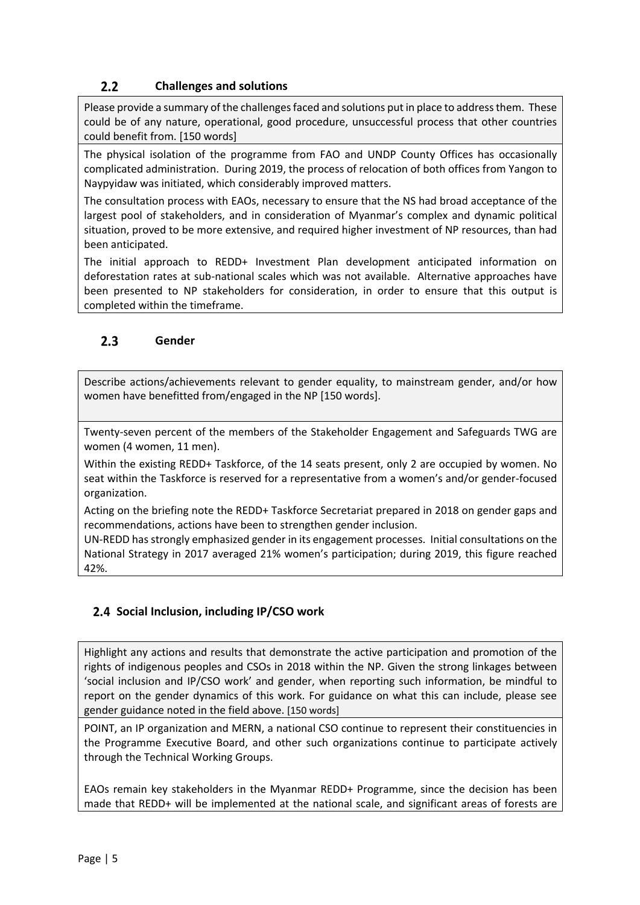#### $2.2$ **Challenges and solutions**

Please provide a summary of the challenges faced and solutions put in place to address them. These could be of any nature, operational, good procedure, unsuccessful process that other countries could benefit from. [150 words]

The physical isolation of the programme from FAO and UNDP County Offices has occasionally complicated administration. During 2019, the process of relocation of both offices from Yangon to Naypyidaw was initiated, which considerably improved matters.

The consultation process with EAOs, necessary to ensure that the NS had broad acceptance of the largest pool of stakeholders, and in consideration of Myanmar's complex and dynamic political situation, proved to be more extensive, and required higher investment of NP resources, than had been anticipated.

The initial approach to REDD+ Investment Plan development anticipated information on deforestation rates at sub-national scales which was not available. Alternative approaches have been presented to NP stakeholders for consideration, in order to ensure that this output is completed within the timeframe.

#### $2.3$ **Gender**

Describe actions/achievements relevant to gender equality, to mainstream gender, and/or how women have benefitted from/engaged in the NP [150 words].

Twenty-seven percent of the members of the Stakeholder Engagement and Safeguards TWG are women (4 women, 11 men).

Within the existing REDD+ Taskforce, of the 14 seats present, only 2 are occupied by women. No seat within the Taskforce is reserved for a representative from a women's and/or gender-focused organization.

Acting on the briefing note the REDD+ Taskforce Secretariat prepared in 2018 on gender gaps and recommendations, actions have been to strengthen gender inclusion.

UN-REDD has strongly emphasized gender in its engagement processes. Initial consultations on the National Strategy in 2017 averaged 21% women's participation; during 2019, this figure reached 42%.

### **Social Inclusion, including IP/CSO work**

Highlight any actions and results that demonstrate the active participation and promotion of the rights of indigenous peoples and CSOs in 2018 within the NP. Given the strong linkages between 'social inclusion and IP/CSO work' and gender, when reporting such information, be mindful to report on the gender dynamics of this work. For guidance on what this can include, please see gender guidance noted in the field above. [150 words]

POINT, an IP organization and MERN, a national CSO continue to represent their constituencies in the Programme Executive Board, and other such organizations continue to participate actively through the Technical Working Groups.

EAOs remain key stakeholders in the Myanmar REDD+ Programme, since the decision has been made that REDD+ will be implemented at the national scale, and significant areas of forests are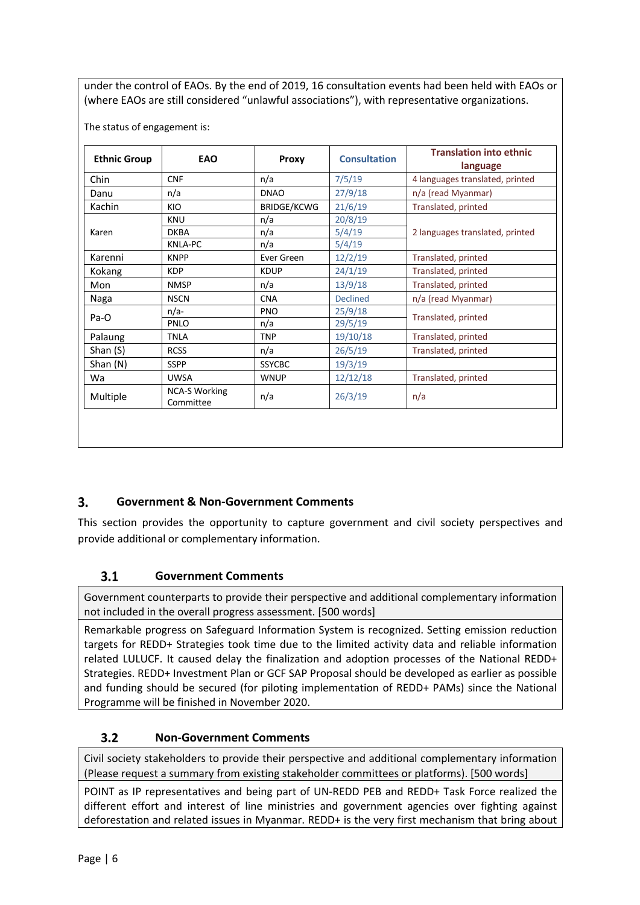under the control of EAOs. By the end of 2019, 16 consultation events had been held with EAOs or (where EAOs are still considered "unlawful associations"), with representative organizations.

| <b>Ethnic Group</b> | EAO                               | Proxy              | <b>Consultation</b> | <b>Translation into ethnic</b><br>language |
|---------------------|-----------------------------------|--------------------|---------------------|--------------------------------------------|
| Chin                | <b>CNF</b>                        | n/a                | 7/5/19              | 4 languages translated, printed            |
| Danu                | n/a                               | <b>DNAO</b>        | 27/9/18             | n/a (read Myanmar)                         |
| Kachin              | KIO                               | <b>BRIDGE/KCWG</b> | 21/6/19             | Translated, printed                        |
|                     | <b>KNU</b>                        | n/a                | 20/8/19             |                                            |
| Karen               | <b>DKBA</b>                       | n/a                | 5/4/19              | 2 languages translated, printed            |
|                     | <b>KNLA-PC</b>                    | n/a                | 5/4/19              |                                            |
| Karenni             | <b>KNPP</b>                       | Ever Green         | 12/2/19             | Translated, printed                        |
| Kokang              | <b>KDP</b>                        | <b>KDUP</b>        | 24/1/19             | Translated, printed                        |
| Mon                 | <b>NMSP</b>                       | n/a                | 13/9/18             | Translated, printed                        |
| Naga                | <b>NSCN</b>                       | <b>CNA</b>         | <b>Declined</b>     | n/a (read Myanmar)                         |
|                     | $n/a-$                            | <b>PNO</b>         | 25/9/18             |                                            |
| Pa-O                | PNLO                              | n/a                | 29/5/19             | Translated, printed                        |
| Palaung             | <b>TNLA</b>                       | <b>TNP</b>         | 19/10/18            | Translated, printed                        |
| Shan (S)            | <b>RCSS</b>                       | n/a                | 26/5/19             | Translated, printed                        |
| Shan (N)            | <b>SSPP</b>                       | <b>SSYCBC</b>      | 19/3/19             |                                            |
| Wa                  | <b>UWSA</b>                       | <b>WNUP</b>        | 12/12/18            | Translated, printed                        |
| Multiple            | <b>NCA-S Working</b><br>Committee | n/a                | 26/3/19             | n/a                                        |

#### $3<sub>1</sub>$ **Government & Non-Government Comments**

This section provides the opportunity to capture government and civil society perspectives and provide additional or complementary information.

#### $3.1$ **Government Comments**

Government counterparts to provide their perspective and additional complementary information not included in the overall progress assessment. [500 words]

Remarkable progress on Safeguard Information System is recognized. Setting emission reduction targets for REDD+ Strategies took time due to the limited activity data and reliable information related LULUCF. It caused delay the finalization and adoption processes of the National REDD+ Strategies. REDD+ Investment Plan or GCF SAP Proposal should be developed as earlier as possible and funding should be secured (for piloting implementation of REDD+ PAMs) since the National Programme will be finished in November 2020.

#### $3.2$ **Non-Government Comments**

Civil society stakeholders to provide their perspective and additional complementary information (Please request a summary from existing stakeholder committees or platforms). [500 words]

POINT as IP representatives and being part of UN-REDD PEB and REDD+ Task Force realized the different effort and interest of line ministries and government agencies over fighting against deforestation and related issues in Myanmar. REDD+ is the very first mechanism that bring about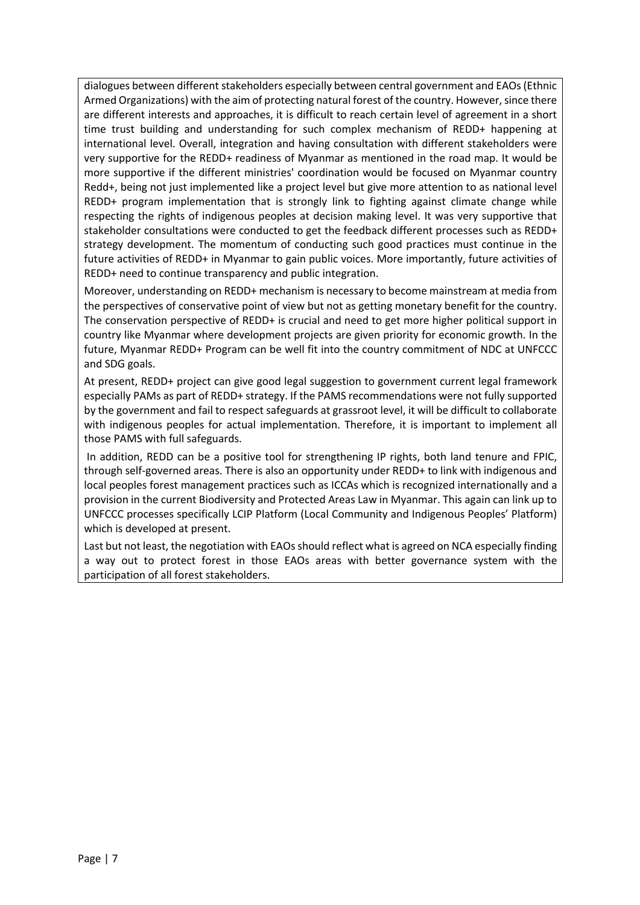dialogues between different stakeholders especially between central government and EAOs (Ethnic Armed Organizations) with the aim of protecting natural forest of the country. However, since there are different interests and approaches, it is difficult to reach certain level of agreement in a short time trust building and understanding for such complex mechanism of REDD+ happening at international level. Overall, integration and having consultation with different stakeholders were very supportive for the REDD+ readiness of Myanmar as mentioned in the road map. It would be more supportive if the different ministries' coordination would be focused on Myanmar country Redd+, being not just implemented like a project level but give more attention to as national level REDD+ program implementation that is strongly link to fighting against climate change while respecting the rights of indigenous peoples at decision making level. It was very supportive that stakeholder consultations were conducted to get the feedback different processes such as REDD+ strategy development. The momentum of conducting such good practices must continue in the future activities of REDD+ in Myanmar to gain public voices. More importantly, future activities of REDD+ need to continue transparency and public integration.

Moreover, understanding on REDD+ mechanism is necessary to become mainstream at media from the perspectives of conservative point of view but not as getting monetary benefit for the country. The conservation perspective of REDD+ is crucial and need to get more higher political support in country like Myanmar where development projects are given priority for economic growth. In the future, Myanmar REDD+ Program can be well fit into the country commitment of NDC at UNFCCC and SDG goals.

At present, REDD+ project can give good legal suggestion to government current legal framework especially PAMs as part of REDD+ strategy. If the PAMS recommendations were not fully supported by the government and fail to respect safeguards at grassroot level, it will be difficult to collaborate with indigenous peoples for actual implementation. Therefore, it is important to implement all those PAMS with full safeguards.

In addition, REDD can be a positive tool for strengthening IP rights, both land tenure and FPIC, through self-governed areas. There is also an opportunity under REDD+ to link with indigenous and local peoples forest management practices such as ICCAs which is recognized internationally and a provision in the current Biodiversity and Protected Areas Law in Myanmar. This again can link up to UNFCCC processes specifically LCIP Platform (Local Community and Indigenous Peoples' Platform) which is developed at present.

Last but not least, the negotiation with EAOs should reflect what is agreed on NCA especially finding a way out to protect forest in those EAOs areas with better governance system with the participation of all forest stakeholders.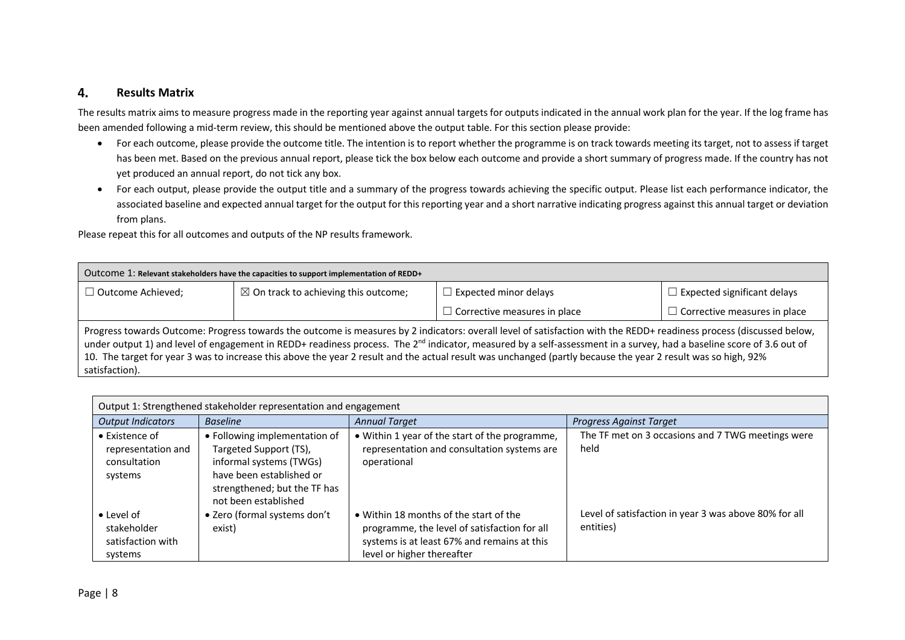#### 4. **Results Matrix**

The results matrix aims to measure progress made in the reporting year against annual targets for outputs indicated in the annual work plan for the year. If the log frame has been amended following a mid-term review, this should be mentioned above the output table. For this section please provide:

- For each outcome, please provide the outcome title. The intention is to report whether the programme is on track towards meeting its target, not to assess if target has been met. Based on the previous annual report, please tick the box below each outcome and provide a short summary of progress made. If the country has not yet produced an annual report, do not tick any box.
- For each output, please provide the output title and a summary of the progress towards achieving the specific output. Please list each performance indicator, the associated baseline and expected annual target for the output for this reporting year and a short narrative indicating progress against this annual target or deviation from plans.

Please repeat this for all outcomes and outputs of the NP results framework.

| Outcome 1: Relevant stakeholders have the capacities to support implementation of REDD+ |                                                 |                                                                                                                                                                                                                                                                                                                                                                                                                                                                                                                           |                                     |
|-----------------------------------------------------------------------------------------|-------------------------------------------------|---------------------------------------------------------------------------------------------------------------------------------------------------------------------------------------------------------------------------------------------------------------------------------------------------------------------------------------------------------------------------------------------------------------------------------------------------------------------------------------------------------------------------|-------------------------------------|
| $\Box$ Outcome Achieved;                                                                | $\boxtimes$ On track to achieving this outcome; | $\Box$ Expected minor delays                                                                                                                                                                                                                                                                                                                                                                                                                                                                                              | $\Box$ Expected significant delays  |
|                                                                                         |                                                 | $\Box$ Corrective measures in place                                                                                                                                                                                                                                                                                                                                                                                                                                                                                       | $\Box$ Corrective measures in place |
| satisfaction).                                                                          |                                                 | Progress towards Outcome: Progress towards the outcome is measures by 2 indicators: overall level of satisfaction with the REDD+ readiness process (discussed below,<br>under output 1) and level of engagement in REDD+ readiness process. The 2 <sup>nd</sup> indicator, measured by a self-assessment in a survey, had a baseline score of 3.6 out of<br>10. The target for year 3 was to increase this above the year 2 result and the actual result was unchanged (partly because the year 2 result was so high, 92% |                                     |

| Output 1: Strengthened stakeholder representation and engagement |                               |                                                |                                                       |
|------------------------------------------------------------------|-------------------------------|------------------------------------------------|-------------------------------------------------------|
| <b>Output Indicators</b>                                         | <b>Baseline</b>               | <b>Annual Target</b>                           | <b>Progress Against Target</b>                        |
| • Existence of                                                   | • Following implementation of | • Within 1 year of the start of the programme, | The TF met on 3 occasions and 7 TWG meetings were     |
| representation and                                               | Targeted Support (TS),        | representation and consultation systems are    | held                                                  |
| consultation                                                     | informal systems (TWGs)       | operational                                    |                                                       |
| systems                                                          | have been established or      |                                                |                                                       |
|                                                                  | strengthened; but the TF has  |                                                |                                                       |
|                                                                  | not been established          |                                                |                                                       |
| $\bullet$ Level of                                               | • Zero (formal systems don't  | • Within 18 months of the start of the         | Level of satisfaction in year 3 was above 80% for all |
| stakeholder                                                      | exist)                        | programme, the level of satisfaction for all   | entities)                                             |
| satisfaction with                                                |                               | systems is at least 67% and remains at this    |                                                       |
| systems                                                          |                               | level or higher thereafter                     |                                                       |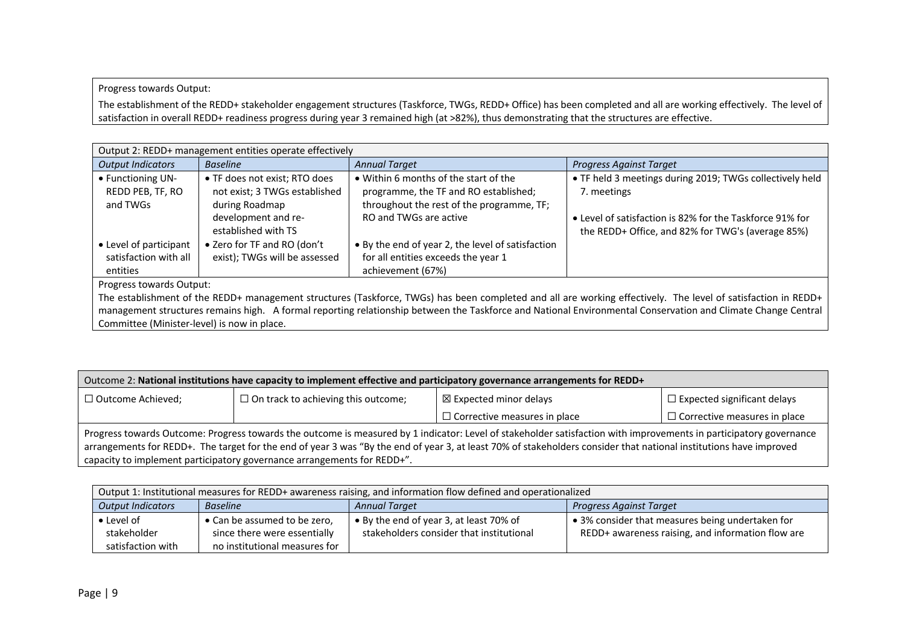Progress towards Output:

The establishment of the REDD+ stakeholder engagement structures (Taskforce, TWGs, REDD+ Office) has been completed and all are working effectively. The level of satisfaction in overall REDD+ readiness progress during year 3 remained high (at >82%), thus demonstrating that the structures are effective.

| Output 2: REDD+ management entities operate effectively |                               |                                                   |                                                          |
|---------------------------------------------------------|-------------------------------|---------------------------------------------------|----------------------------------------------------------|
| <b>Output Indicators</b>                                | <b>Baseline</b>               | <b>Annual Target</b>                              | <b>Progress Against Target</b>                           |
| • Functioning UN-                                       | • TF does not exist; RTO does | • Within 6 months of the start of the             | • TF held 3 meetings during 2019; TWGs collectively held |
| REDD PEB, TF, RO                                        | not exist; 3 TWGs established | programme, the TF and RO established;             | 7. meetings                                              |
| and TWGs                                                | during Roadmap                | throughout the rest of the programme, TF;         |                                                          |
|                                                         | development and re-           | RO and TWGs are active                            | • Level of satisfaction is 82% for the Taskforce 91% for |
|                                                         | established with TS           |                                                   | the REDD+ Office, and 82% for TWG's (average 85%)        |
| • Level of participant                                  | • Zero for TF and RO (don't   | • By the end of year 2, the level of satisfaction |                                                          |
| satisfaction with all                                   | exist); TWGs will be assessed | for all entities exceeds the year 1               |                                                          |
| entities                                                |                               | achievement (67%)                                 |                                                          |
| <b>Prograce towards Output:</b>                         |                               |                                                   |                                                          |

Progress towards Output:

The establishment of the REDD+ management structures (Taskforce, TWGs) has been completed and all are working effectively. The level of satisfaction in REDD+ management structures remains high. A formal reporting relationship between the Taskforce and National Environmental Conservation and Climate Change Central Committee (Minister-level) is now in place.

| Outcome 2: National institutions have capacity to implement effective and participatory governance arrangements for REDD+                                                                                                                                                                                                                                                                                           |                                            |                                     |                                     |
|---------------------------------------------------------------------------------------------------------------------------------------------------------------------------------------------------------------------------------------------------------------------------------------------------------------------------------------------------------------------------------------------------------------------|--------------------------------------------|-------------------------------------|-------------------------------------|
| $\Box$ Outcome Achieved;                                                                                                                                                                                                                                                                                                                                                                                            | $\Box$ On track to achieving this outcome; | $\boxtimes$ Expected minor delays   | $\Box$ Expected significant delays  |
|                                                                                                                                                                                                                                                                                                                                                                                                                     |                                            | $\Box$ Corrective measures in place | $\Box$ Corrective measures in place |
| Progress towards Outcome: Progress towards the outcome is measured by 1 indicator: Level of stakeholder satisfaction with improvements in participatory governance<br>arrangements for REDD+. The target for the end of year 3 was "By the end of year 3, at least 70% of stakeholders consider that national institutions have improved<br>capacity to implement participatory governance arrangements for REDD+". |                                            |                                     |                                     |

| Output 1: Institutional measures for REDD+ awareness raising, and information flow defined and operationalized |                               |                                          |                                                   |  |
|----------------------------------------------------------------------------------------------------------------|-------------------------------|------------------------------------------|---------------------------------------------------|--|
| <b>Output Indicators</b><br><b>Annual Target</b><br>Progress Against Target<br><b>Baseline</b>                 |                               |                                          |                                                   |  |
| $\bullet$ Level of                                                                                             | • Can be assumed to be zero,  | • By the end of year 3, at least 70% of  | • 3% consider that measures being undertaken for  |  |
| stakeholder                                                                                                    | since there were essentially  | stakeholders consider that institutional | REDD+ awareness raising, and information flow are |  |
| satisfaction with                                                                                              | no institutional measures for |                                          |                                                   |  |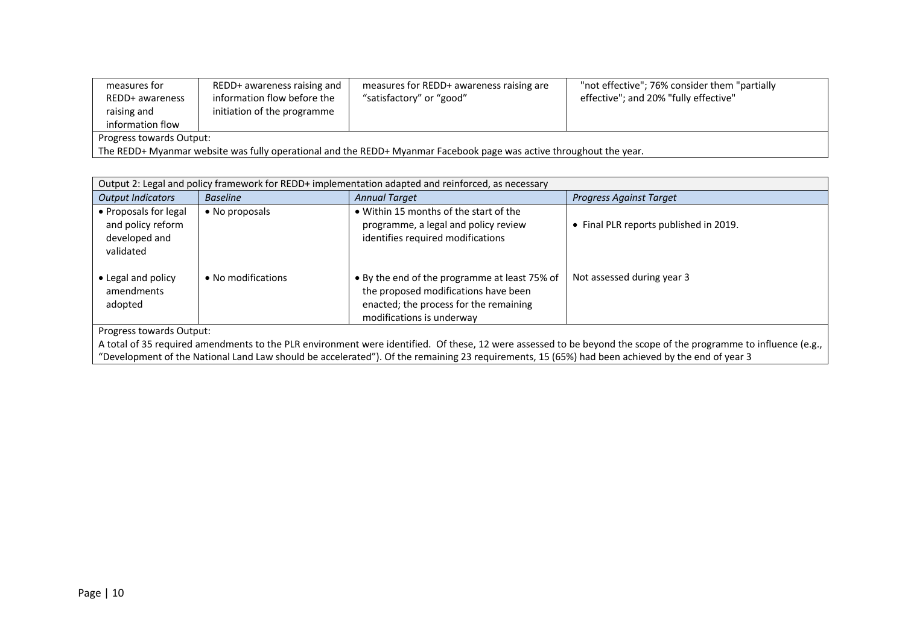| measures for<br>REDD+ awareness<br>raising and<br>information flow                                                  | REDD+ awareness raising and<br>information flow before the<br>initiation of the programme | measures for REDD+ awareness raising are<br>"satisfactory" or "good" | "not effective"; 76% consider them "partially"<br>effective"; and 20% "fully effective" |  |
|---------------------------------------------------------------------------------------------------------------------|-------------------------------------------------------------------------------------------|----------------------------------------------------------------------|-----------------------------------------------------------------------------------------|--|
| Progress towards Output:                                                                                            |                                                                                           |                                                                      |                                                                                         |  |
| The REDD+ Myanmar website was fully operational and the REDD+ Myanmar Facebook page was active throughout the year. |                                                                                           |                                                                      |                                                                                         |  |

| Output 2: Legal and policy framework for REDD+ implementation adapted and reinforced, as necessary                                                               |                    |                                                                                                                                                              |                                        |  |  |
|------------------------------------------------------------------------------------------------------------------------------------------------------------------|--------------------|--------------------------------------------------------------------------------------------------------------------------------------------------------------|----------------------------------------|--|--|
| <b>Output Indicators</b>                                                                                                                                         | <b>Baseline</b>    | <b>Annual Target</b>                                                                                                                                         | <b>Progress Against Target</b>         |  |  |
| • Proposals for legal<br>and policy reform<br>developed and<br>validated                                                                                         | • No proposals     | • Within 15 months of the start of the<br>programme, a legal and policy review<br>identifies required modifications                                          | • Final PLR reports published in 2019. |  |  |
| • Legal and policy<br>amendments<br>adopted                                                                                                                      | • No modifications | • By the end of the programme at least 75% of<br>the proposed modifications have been<br>enacted; the process for the remaining<br>modifications is underway | Not assessed during year 3             |  |  |
| Progress towards Output:                                                                                                                                         |                    |                                                                                                                                                              |                                        |  |  |
| A total of 35 required amendments to the PLR environment were identified. Of these, 12 were assessed to be beyond the scope of the programme to influence (e.g., |                    |                                                                                                                                                              |                                        |  |  |

"Development of the National Land Law should be accelerated"). Of the remaining 23 requirements, 15 (65%) had been achieved by the end of year 3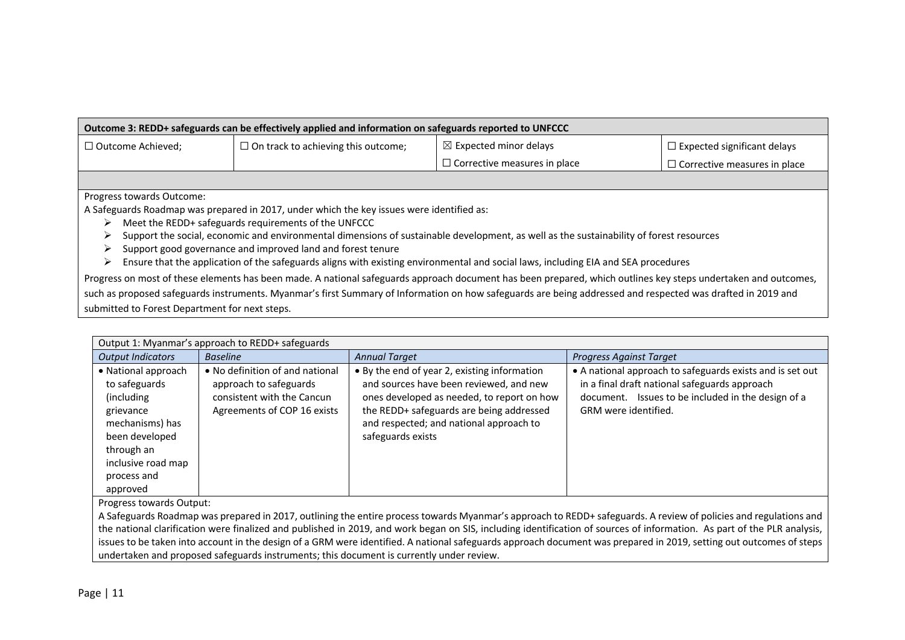| Outcome 3: REDD+ safeguards can be effectively applied and information on safeguards reported to UNFCCC                                                                                                                                                                                                                                                                                                                                                                                                                                       |                                            |                                                                                                                                                                                                                                                                                                                               |                                     |  |  |  |
|-----------------------------------------------------------------------------------------------------------------------------------------------------------------------------------------------------------------------------------------------------------------------------------------------------------------------------------------------------------------------------------------------------------------------------------------------------------------------------------------------------------------------------------------------|--------------------------------------------|-------------------------------------------------------------------------------------------------------------------------------------------------------------------------------------------------------------------------------------------------------------------------------------------------------------------------------|-------------------------------------|--|--|--|
| $\Box$ Outcome Achieved;                                                                                                                                                                                                                                                                                                                                                                                                                                                                                                                      | $\Box$ On track to achieving this outcome; | $\boxtimes$ Expected minor delays                                                                                                                                                                                                                                                                                             | $\Box$ Expected significant delays  |  |  |  |
|                                                                                                                                                                                                                                                                                                                                                                                                                                                                                                                                               |                                            | $\Box$ Corrective measures in place                                                                                                                                                                                                                                                                                           | $\Box$ Corrective measures in place |  |  |  |
|                                                                                                                                                                                                                                                                                                                                                                                                                                                                                                                                               |                                            |                                                                                                                                                                                                                                                                                                                               |                                     |  |  |  |
| Progress towards Outcome:<br>A Safeguards Roadmap was prepared in 2017, under which the key issues were identified as:<br>Meet the REDD+ safeguards requirements of the UNFCCC<br>➤<br>Support the social, economic and environmental dimensions of sustainable development, as well as the sustainability of forest resources<br>Support good governance and improved land and forest tenure<br>➤<br>Ensure that the application of the safeguards aligns with existing environmental and social laws, including EIA and SEA procedures<br>⋗ |                                            |                                                                                                                                                                                                                                                                                                                               |                                     |  |  |  |
| submitted to Forest Department for next steps.                                                                                                                                                                                                                                                                                                                                                                                                                                                                                                |                                            | Progress on most of these elements has been made. A national safeguards approach document has been prepared, which outlines key steps undertaken and outcomes,<br>such as proposed safeguards instruments. Myanmar's first Summary of Information on how safeguards are being addressed and respected was drafted in 2019 and |                                     |  |  |  |

| Output 1: Myanmar's approach to REDD+ safeguards                                                                                                                    |                                                                                                                        |                                                                                                                                                                                                                                                   |                                                                                                                                                                                          |  |  |  |
|---------------------------------------------------------------------------------------------------------------------------------------------------------------------|------------------------------------------------------------------------------------------------------------------------|---------------------------------------------------------------------------------------------------------------------------------------------------------------------------------------------------------------------------------------------------|------------------------------------------------------------------------------------------------------------------------------------------------------------------------------------------|--|--|--|
| <b>Output Indicators</b>                                                                                                                                            | <b>Baseline</b>                                                                                                        | <b>Annual Target</b>                                                                                                                                                                                                                              | Progress Against Target                                                                                                                                                                  |  |  |  |
| • National approach<br>to safeguards<br>(including<br>grievance<br>mechanisms) has<br>been developed<br>through an<br>inclusive road map<br>process and<br>approved | • No definition of and national<br>approach to safeguards<br>consistent with the Cancun<br>Agreements of COP 16 exists | • By the end of year 2, existing information<br>and sources have been reviewed, and new<br>ones developed as needed, to report on how<br>the REDD+ safeguards are being addressed<br>and respected; and national approach to<br>safeguards exists | • A national approach to safeguards exists and is set out<br>in a final draft national safeguards approach<br>document. Issues to be included in the design of a<br>GRM were identified. |  |  |  |

Progress towards Output:

A Safeguards Roadmap was prepared in 2017, outlining the entire process towards Myanmar's approach to REDD+ safeguards. A review of policies and regulations and the national clarification were finalized and published in 2019, and work began on SIS, including identification of sources of information. As part of the PLR analysis, issues to be taken into account in the design of a GRM were identified. A national safeguards approach document was prepared in 2019, setting out outcomes of steps undertaken and proposed safeguards instruments; this document is currently under review.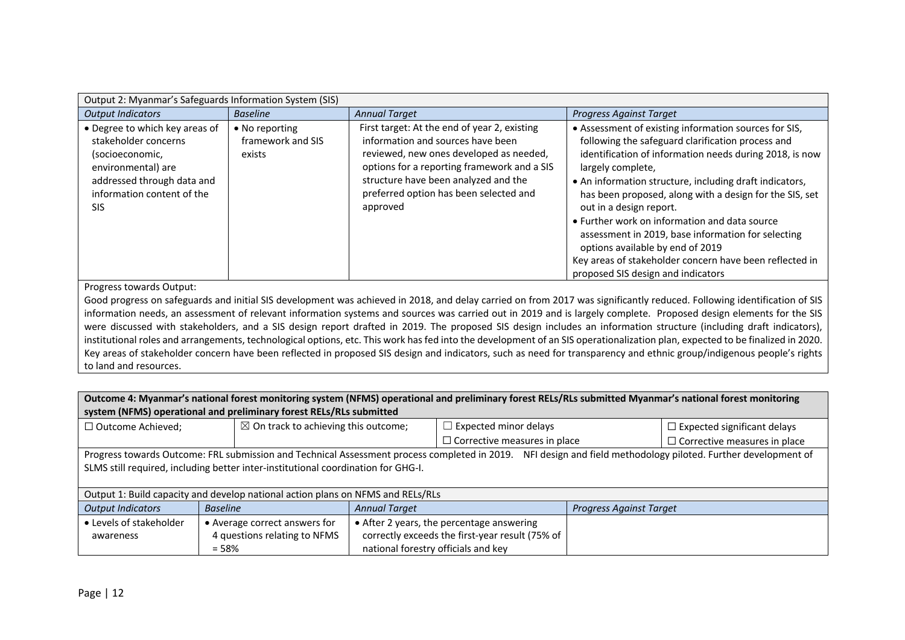| Output 2: Myanmar's Safeguards Information System (SIS)                                                                                                            |                                               |                                                                                                                                                                                                                                                                           |                                                                                                                                                                                                                                                                                                                                                                                                                                                                                                                                                                                         |  |  |  |
|--------------------------------------------------------------------------------------------------------------------------------------------------------------------|-----------------------------------------------|---------------------------------------------------------------------------------------------------------------------------------------------------------------------------------------------------------------------------------------------------------------------------|-----------------------------------------------------------------------------------------------------------------------------------------------------------------------------------------------------------------------------------------------------------------------------------------------------------------------------------------------------------------------------------------------------------------------------------------------------------------------------------------------------------------------------------------------------------------------------------------|--|--|--|
| <b>Output Indicators</b>                                                                                                                                           | <b>Baseline</b>                               | <b>Annual Target</b>                                                                                                                                                                                                                                                      | <b>Progress Against Target</b>                                                                                                                                                                                                                                                                                                                                                                                                                                                                                                                                                          |  |  |  |
| • Degree to which key areas of<br>stakeholder concerns<br>(socioeconomic,<br>environmental) are<br>addressed through data and<br>information content of the<br>SIS | • No reporting<br>framework and SIS<br>exists | First target: At the end of year 2, existing<br>information and sources have been<br>reviewed, new ones developed as needed,<br>options for a reporting framework and a SIS<br>structure have been analyzed and the<br>preferred option has been selected and<br>approved | • Assessment of existing information sources for SIS,<br>following the safeguard clarification process and<br>identification of information needs during 2018, is now<br>largely complete,<br>• An information structure, including draft indicators,<br>has been proposed, along with a design for the SIS, set<br>out in a design report.<br>• Further work on information and data source<br>assessment in 2019, base information for selecting<br>options available by end of 2019<br>Key areas of stakeholder concern have been reflected in<br>proposed SIS design and indicators |  |  |  |
| Progress towards Output:                                                                                                                                           |                                               |                                                                                                                                                                                                                                                                           |                                                                                                                                                                                                                                                                                                                                                                                                                                                                                                                                                                                         |  |  |  |
|                                                                                                                                                                    |                                               |                                                                                                                                                                                                                                                                           | Good progress on safeguards and initial SIS development was achieved in 2018, and delay carried on from 2017 was significantly reduced. Following identification of SIS                                                                                                                                                                                                                                                                                                                                                                                                                 |  |  |  |
| information needs, an assessment of relevant information systems and sources was carried out in 2019 and is largely complete. Proposed design elements for the SIS |                                               |                                                                                                                                                                                                                                                                           |                                                                                                                                                                                                                                                                                                                                                                                                                                                                                                                                                                                         |  |  |  |
| were discussed with stakeholders, and a SIS design report drafted in 2019. The proposed SIS design includes an information structure (including draft indicators), |                                               |                                                                                                                                                                                                                                                                           |                                                                                                                                                                                                                                                                                                                                                                                                                                                                                                                                                                                         |  |  |  |
|                                                                                                                                                                    |                                               |                                                                                                                                                                                                                                                                           | institutional roles and arrangements, technological options, etc. This work has fed into the development of an SIS operationalization plan, expected to be finalized in 2020.                                                                                                                                                                                                                                                                                                                                                                                                           |  |  |  |
|                                                                                                                                                                    |                                               |                                                                                                                                                                                                                                                                           | Key areas of stakeholder concern have been reflected in proposed SIS design and indicators, such as need for transparency and ethnic group/indigenous people's rights                                                                                                                                                                                                                                                                                                                                                                                                                   |  |  |  |
| to land and resources.                                                                                                                                             |                                               |                                                                                                                                                                                                                                                                           |                                                                                                                                                                                                                                                                                                                                                                                                                                                                                                                                                                                         |  |  |  |

| Outcome 4: Myanmar's national forest monitoring system (NFMS) operational and preliminary forest RELs/RLs submitted Myanmar's national forest monitoring<br>system (NFMS) operational and preliminary forest RELs/RLs submitted |                                                                                                                                                                                                                                                    |                      |                                                                                                                                     |                                |                                     |  |  |
|---------------------------------------------------------------------------------------------------------------------------------------------------------------------------------------------------------------------------------|----------------------------------------------------------------------------------------------------------------------------------------------------------------------------------------------------------------------------------------------------|----------------------|-------------------------------------------------------------------------------------------------------------------------------------|--------------------------------|-------------------------------------|--|--|
| $\Box$ Outcome Achieved;                                                                                                                                                                                                        | $\boxtimes$ On track to achieving this outcome;                                                                                                                                                                                                    |                      | $\Box$ Expected minor delays                                                                                                        |                                | $\Box$ Expected significant delays  |  |  |
|                                                                                                                                                                                                                                 |                                                                                                                                                                                                                                                    |                      | $\Box$ Corrective measures in place                                                                                                 |                                | $\Box$ Corrective measures in place |  |  |
|                                                                                                                                                                                                                                 | Progress towards Outcome: FRL submission and Technical Assessment process completed in 2019. NFI design and field methodology piloted. Further development of<br>SLMS still required, including better inter-institutional coordination for GHG-I. |                      |                                                                                                                                     |                                |                                     |  |  |
|                                                                                                                                                                                                                                 | Output 1: Build capacity and develop national action plans on NFMS and RELs/RLs                                                                                                                                                                    |                      |                                                                                                                                     |                                |                                     |  |  |
| <b>Output Indicators</b>                                                                                                                                                                                                        | <b>Baseline</b>                                                                                                                                                                                                                                    | <b>Annual Target</b> |                                                                                                                                     | <b>Progress Against Target</b> |                                     |  |  |
| • Levels of stakeholder<br>awareness                                                                                                                                                                                            | • Average correct answers for<br>4 questions relating to NFMS<br>$= 58%$                                                                                                                                                                           |                      | • After 2 years, the percentage answering<br>correctly exceeds the first-year result (75% of<br>national forestry officials and key |                                |                                     |  |  |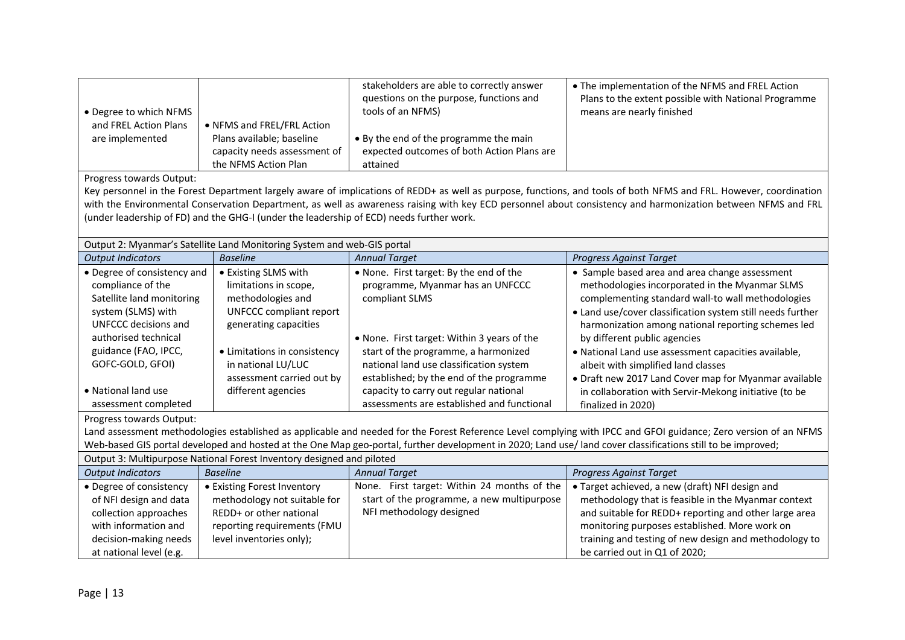| • Degree to which NFMS<br>and FREL Action Plans<br>are implemented                                                                                                                                                                                                                                          | • NFMS and FREL/FRL Action<br>Plans available; baseline                                                                                                                                                                                | stakeholders are able to correctly answer<br>questions on the purpose, functions and<br>tools of an NFMS)<br>• By the end of the programme the main                                                                                                                                                                                                                                                                                                                                                                                | • The implementation of the NFMS and FREL Action<br>Plans to the extent possible with National Programme<br>means are nearly finished                                                                                                                                                                                                                                                                                                                                                                                                                                                                                                                                                                                |  |  |  |
|-------------------------------------------------------------------------------------------------------------------------------------------------------------------------------------------------------------------------------------------------------------------------------------------------------------|----------------------------------------------------------------------------------------------------------------------------------------------------------------------------------------------------------------------------------------|------------------------------------------------------------------------------------------------------------------------------------------------------------------------------------------------------------------------------------------------------------------------------------------------------------------------------------------------------------------------------------------------------------------------------------------------------------------------------------------------------------------------------------|----------------------------------------------------------------------------------------------------------------------------------------------------------------------------------------------------------------------------------------------------------------------------------------------------------------------------------------------------------------------------------------------------------------------------------------------------------------------------------------------------------------------------------------------------------------------------------------------------------------------------------------------------------------------------------------------------------------------|--|--|--|
|                                                                                                                                                                                                                                                                                                             | capacity needs assessment of<br>the NFMS Action Plan                                                                                                                                                                                   | expected outcomes of both Action Plans are<br>attained                                                                                                                                                                                                                                                                                                                                                                                                                                                                             |                                                                                                                                                                                                                                                                                                                                                                                                                                                                                                                                                                                                                                                                                                                      |  |  |  |
| Progress towards Output:                                                                                                                                                                                                                                                                                    | (under leadership of FD) and the GHG-I (under the leadership of ECD) needs further work.                                                                                                                                               |                                                                                                                                                                                                                                                                                                                                                                                                                                                                                                                                    | Key personnel in the Forest Department largely aware of implications of REDD+ as well as purpose, functions, and tools of both NFMS and FRL. However, coordination<br>with the Environmental Conservation Department, as well as awareness raising with key ECD personnel about consistency and harmonization between NFMS and FRL                                                                                                                                                                                                                                                                                                                                                                                   |  |  |  |
|                                                                                                                                                                                                                                                                                                             | Output 2: Myanmar's Satellite Land Monitoring System and web-GIS portal                                                                                                                                                                |                                                                                                                                                                                                                                                                                                                                                                                                                                                                                                                                    |                                                                                                                                                                                                                                                                                                                                                                                                                                                                                                                                                                                                                                                                                                                      |  |  |  |
| <b>Output Indicators</b>                                                                                                                                                                                                                                                                                    | <b>Baseline</b>                                                                                                                                                                                                                        | <b>Annual Target</b>                                                                                                                                                                                                                                                                                                                                                                                                                                                                                                               | <b>Progress Against Target</b>                                                                                                                                                                                                                                                                                                                                                                                                                                                                                                                                                                                                                                                                                       |  |  |  |
| • Degree of consistency and<br>compliance of the<br>Satellite land monitoring<br>system (SLMS) with<br><b>UNFCCC decisions and</b><br>authorised technical<br>guidance (FAO, IPCC,<br>GOFC-GOLD, GFOI)<br>• National land use<br>assessment completed<br>Progress towards Output:                           | • Existing SLMS with<br>limitations in scope,<br>methodologies and<br><b>UNFCCC compliant report</b><br>generating capacities<br>• Limitations in consistency<br>in national LU/LUC<br>assessment carried out by<br>different agencies | . None. First target: By the end of the<br>programme, Myanmar has an UNFCCC<br>compliant SLMS<br>. None. First target: Within 3 years of the<br>start of the programme, a harmonized<br>national land use classification system<br>established; by the end of the programme<br>capacity to carry out regular national<br>assessments are established and functional<br>Web-based GIS portal developed and hosted at the One Map geo-portal, further development in 2020; Land use/land cover classifications still to be improved; | • Sample based area and area change assessment<br>methodologies incorporated in the Myanmar SLMS<br>complementing standard wall-to wall methodologies<br>• Land use/cover classification system still needs further<br>harmonization among national reporting schemes led<br>by different public agencies<br>· National Land use assessment capacities available,<br>albeit with simplified land classes<br>• Draft new 2017 Land Cover map for Myanmar available<br>in collaboration with Servir-Mekong initiative (to be<br>finalized in 2020)<br>Land assessment methodologies established as applicable and needed for the Forest Reference Level complying with IPCC and GFOI guidance; Zero version of an NFMS |  |  |  |
|                                                                                                                                                                                                                                                                                                             | Output 3: Multipurpose National Forest Inventory designed and piloted                                                                                                                                                                  |                                                                                                                                                                                                                                                                                                                                                                                                                                                                                                                                    |                                                                                                                                                                                                                                                                                                                                                                                                                                                                                                                                                                                                                                                                                                                      |  |  |  |
| <b>Output Indicators</b>                                                                                                                                                                                                                                                                                    | <b>Baseline</b>                                                                                                                                                                                                                        | <b>Annual Target</b>                                                                                                                                                                                                                                                                                                                                                                                                                                                                                                               | <b>Progress Against Target</b>                                                                                                                                                                                                                                                                                                                                                                                                                                                                                                                                                                                                                                                                                       |  |  |  |
| • Degree of consistency<br>• Existing Forest Inventory<br>of NFI design and data<br>methodology not suitable for<br>collection approaches<br>REDD+ or other national<br>with information and<br>reporting requirements (FMU<br>decision-making needs<br>level inventories only);<br>at national level (e.g. |                                                                                                                                                                                                                                        | None. First target: Within 24 months of the<br>start of the programme, a new multipurpose<br>NFI methodology designed                                                                                                                                                                                                                                                                                                                                                                                                              | · Target achieved, a new (draft) NFI design and<br>methodology that is feasible in the Myanmar context<br>and suitable for REDD+ reporting and other large area<br>monitoring purposes established. More work on<br>training and testing of new design and methodology to<br>be carried out in Q1 of 2020;                                                                                                                                                                                                                                                                                                                                                                                                           |  |  |  |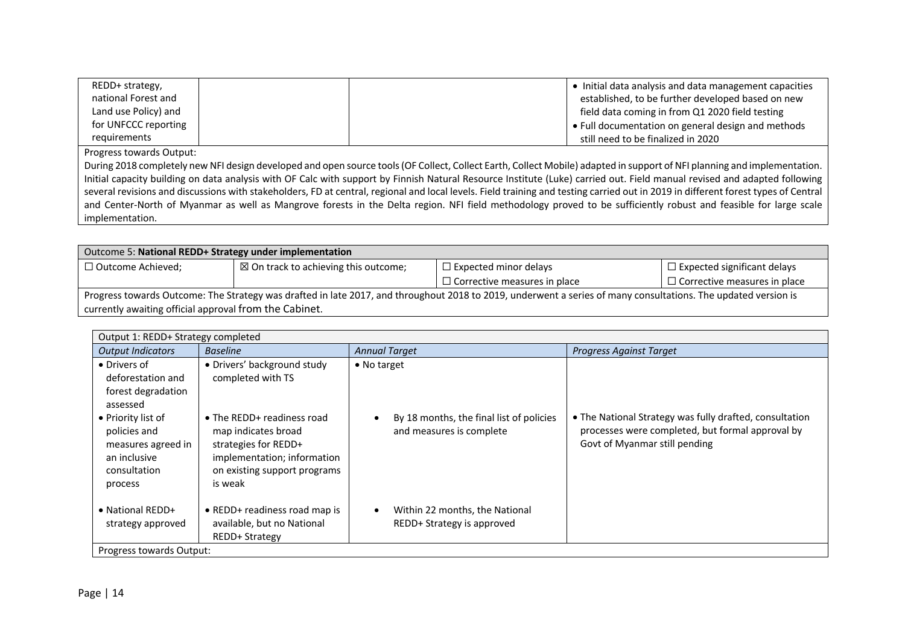| REDD+ strategy,      | Initial data analysis and data management capacities |  |
|----------------------|------------------------------------------------------|--|
| national Forest and  | established, to be further developed based on new    |  |
| Land use Policy) and | field data coming in from Q1 2020 field testing      |  |
| for UNFCCC reporting | • Full documentation on general design and methods   |  |
| requirements         | still need to be finalized in 2020                   |  |

Progress towards Output:

During 2018 completely new NFI design developed and open source tools (OF Collect, Collect Earth, Collect Mobile) adapted in support of NFI planning and implementation. Initial capacity building on data analysis with OF Calc with support by Finnish Natural Resource Institute (Luke) carried out. Field manual revised and adapted following several revisions and discussions with stakeholders, FD at central, regional and local levels. Field training and testing carried out in 2019 in different forest types of Central and Center-North of Myanmar as well as Mangrove forests in the Delta region. NFI field methodology proved to be sufficiently robust and feasible for large scale implementation.

| Outcome 5: National REDD+ Strategy under implementation                                                                                                        |                                                 |                                     |                                     |  |  |
|----------------------------------------------------------------------------------------------------------------------------------------------------------------|-------------------------------------------------|-------------------------------------|-------------------------------------|--|--|
| $\Box$ Outcome Achieved;                                                                                                                                       | $\boxtimes$ On track to achieving this outcome; | $\Box$ Expected minor delays        | $\Box$ Expected significant delays  |  |  |
|                                                                                                                                                                |                                                 | $\Box$ Corrective measures in place | $\Box$ Corrective measures in place |  |  |
| Progress towards Outcome: The Strategy was drafted in late 2017, and throughout 2018 to 2019, underwent a series of many consultations. The updated version is |                                                 |                                     |                                     |  |  |
| currently awaiting official approval from the Cabinet.                                                                                                         |                                                 |                                     |                                     |  |  |

| Output 1: REDD+ Strategy completed                                                                  |                                                                                                                                                     |                                                                      |                                                                                                                                              |  |  |
|-----------------------------------------------------------------------------------------------------|-----------------------------------------------------------------------------------------------------------------------------------------------------|----------------------------------------------------------------------|----------------------------------------------------------------------------------------------------------------------------------------------|--|--|
| <b>Output Indicators</b>                                                                            | <b>Baseline</b>                                                                                                                                     | <b>Annual Target</b>                                                 | <b>Progress Against Target</b>                                                                                                               |  |  |
| • Drivers of<br>deforestation and<br>forest degradation<br>assessed                                 | • Drivers' background study<br>completed with TS                                                                                                    | $\bullet$ No target                                                  |                                                                                                                                              |  |  |
| • Priority list of<br>policies and<br>measures agreed in<br>an inclusive<br>consultation<br>process | • The REDD+ readiness road<br>map indicates broad<br>strategies for REDD+<br>implementation; information<br>on existing support programs<br>is weak | By 18 months, the final list of policies<br>and measures is complete | • The National Strategy was fully drafted, consultation<br>processes were completed, but formal approval by<br>Govt of Myanmar still pending |  |  |
| $\bullet$ National REDD+<br>strategy approved                                                       | • REDD+ readiness road map is<br>available, but no National<br><b>REDD+ Strategy</b>                                                                | Within 22 months, the National<br>REDD+ Strategy is approved         |                                                                                                                                              |  |  |
| Progress towards Output:                                                                            |                                                                                                                                                     |                                                                      |                                                                                                                                              |  |  |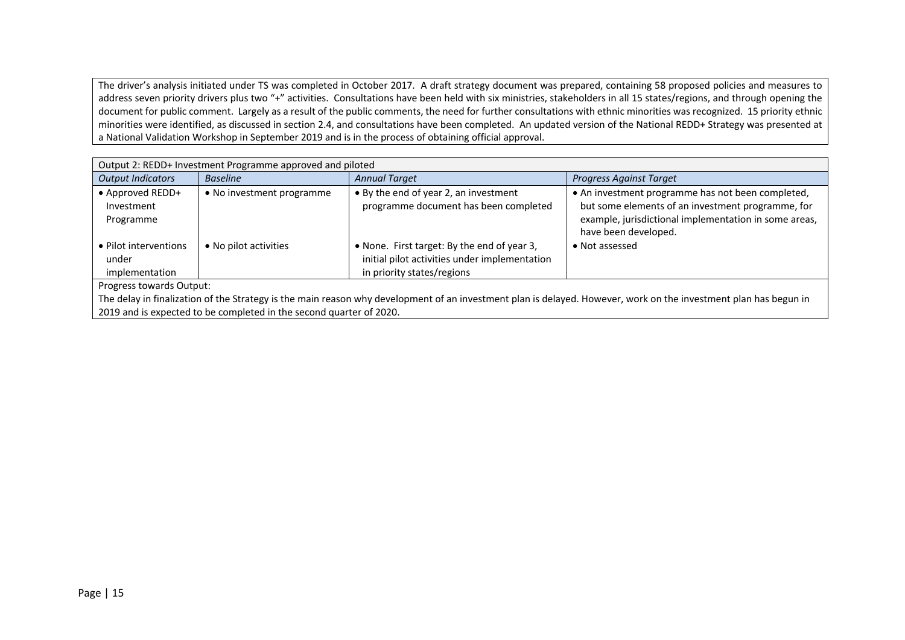The driver's analysis initiated under TS was completed in October 2017. A draft strategy document was prepared, containing 58 proposed policies and measures to address seven priority drivers plus two "+" activities. Consultations have been held with six ministries, stakeholders in all 15 states/regions, and through opening the document for public comment. Largely as a result of the public comments, the need for further consultations with ethnic minorities was recognized. 15 priority ethnic minorities were identified, as discussed in section 2.4, and consultations have been completed. An updated version of the National REDD+ Strategy was presented at a National Validation Workshop in September 2019 and is in the process of obtaining official approval.

| Output 2: REDD+ Investment Programme approved and piloted |                           |                                               |                                                       |  |  |
|-----------------------------------------------------------|---------------------------|-----------------------------------------------|-------------------------------------------------------|--|--|
| <b>Output Indicators</b>                                  | <b>Baseline</b>           | <b>Annual Target</b>                          | <b>Progress Against Target</b>                        |  |  |
| • Approved REDD+                                          | • No investment programme | • By the end of year 2, an investment         | • An investment programme has not been completed,     |  |  |
| Investment                                                |                           | programme document has been completed         | but some elements of an investment programme, for     |  |  |
| Programme                                                 |                           |                                               | example, jurisdictional implementation in some areas, |  |  |
|                                                           |                           |                                               | have been developed.                                  |  |  |
| • Pilot interventions                                     | • No pilot activities     | • None. First target: By the end of year 3,   | • Not assessed                                        |  |  |
| under                                                     |                           | initial pilot activities under implementation |                                                       |  |  |
| implementation                                            |                           | in priority states/regions                    |                                                       |  |  |
|                                                           | Progress towards Output:  |                                               |                                                       |  |  |

The delay in finalization of the Strategy is the main reason why development of an investment plan is delayed. However, work on the investment plan has begun in 2019 and is expected to be completed in the second quarter of 2020.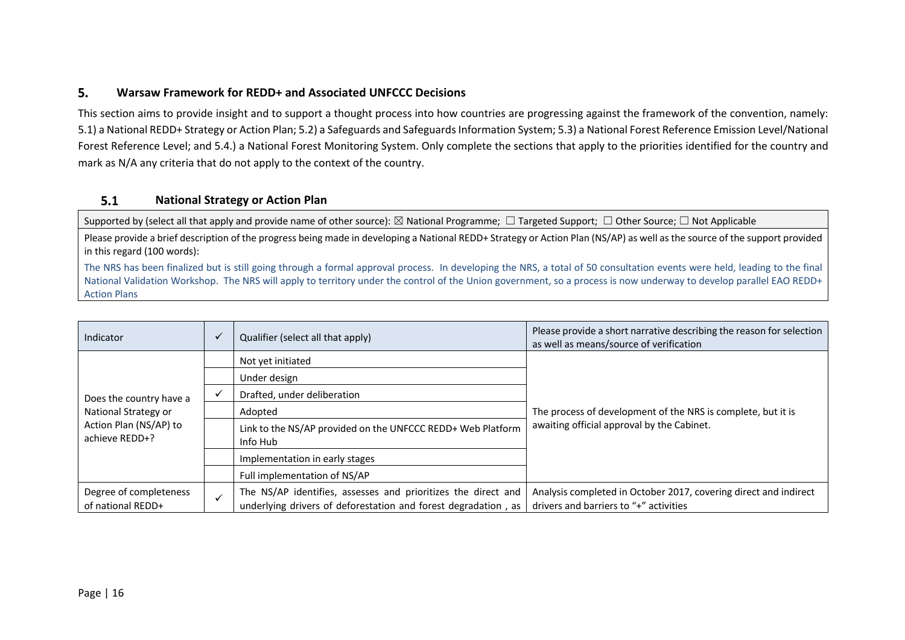#### 5. **Warsaw Framework for REDD+ and Associated UNFCCC Decisions**

This section aims to provide insight and to support a thought process into how countries are progressing against the framework of the convention, namely: 5.1) a National REDD+ Strategy or Action Plan; 5.2) a Safeguards and Safeguards Information System; 5.3) a National Forest Reference Emission Level/National Forest Reference Level; and 5.4.) a National Forest Monitoring System. Only complete the sections that apply to the priorities identified for the country and mark as N/A any criteria that do not apply to the context of the country.

#### $5.1$ **National Strategy or Action Plan**

Supported by (select all that apply and provide name of other source):  $\boxtimes$  National Programme;  $\Box$  Targeted Support;  $\Box$  Other Source;  $\Box$  Not Applicable

Please provide a brief description of the progress being made in developing a National REDD+ Strategy or Action Plan (NS/AP) as well as the source of the support provided in this regard (100 words):

The NRS has been finalized but is still going through a formal approval process. In developing the NRS, a total of 50 consultation events were held, leading to the final National Validation Workshop. The NRS will apply to territory under the control of the Union government, so a process is now underway to develop parallel EAO REDD+ Action Plans

| Indicator                                   |                             | Qualifier (select all that apply)                                                                                               | Please provide a short narrative describing the reason for selection<br>as well as means/source of verification |
|---------------------------------------------|-----------------------------|---------------------------------------------------------------------------------------------------------------------------------|-----------------------------------------------------------------------------------------------------------------|
|                                             |                             | Not yet initiated                                                                                                               |                                                                                                                 |
|                                             |                             | Under design                                                                                                                    |                                                                                                                 |
| Does the country have a                     | Drafted, under deliberation |                                                                                                                                 |                                                                                                                 |
| National Strategy or                        |                             | Adopted                                                                                                                         | The process of development of the NRS is complete, but it is                                                    |
| Action Plan (NS/AP) to<br>achieve REDD+?    |                             | Link to the NS/AP provided on the UNFCCC REDD+ Web Platform<br>Info Hub                                                         | awaiting official approval by the Cabinet.                                                                      |
|                                             |                             | Implementation in early stages                                                                                                  |                                                                                                                 |
|                                             |                             | Full implementation of NS/AP                                                                                                    |                                                                                                                 |
| Degree of completeness<br>of national REDD+ |                             | The NS/AP identifies, assesses and prioritizes the direct and<br>underlying drivers of deforestation and forest degradation, as | Analysis completed in October 2017, covering direct and indirect<br>drivers and barriers to "+" activities      |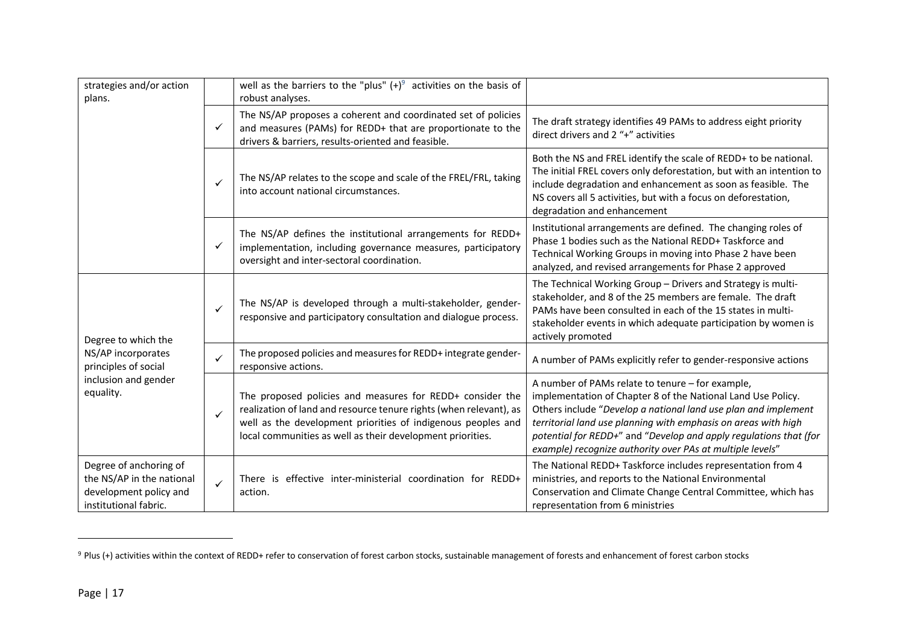| strategies and/or action<br>plans.                                                                     |              | well as the barriers to the "plus" $(+)^9$ activities on the basis of<br>robust analyses.                                                                                                                                                                     |                                                                                                                                                                                                                                                                                                                                                                                        |
|--------------------------------------------------------------------------------------------------------|--------------|---------------------------------------------------------------------------------------------------------------------------------------------------------------------------------------------------------------------------------------------------------------|----------------------------------------------------------------------------------------------------------------------------------------------------------------------------------------------------------------------------------------------------------------------------------------------------------------------------------------------------------------------------------------|
|                                                                                                        | ✓            | The NS/AP proposes a coherent and coordinated set of policies<br>and measures (PAMs) for REDD+ that are proportionate to the<br>drivers & barriers, results-oriented and feasible.                                                                            | The draft strategy identifies 49 PAMs to address eight priority<br>direct drivers and 2 "+" activities                                                                                                                                                                                                                                                                                 |
|                                                                                                        | ✓            | The NS/AP relates to the scope and scale of the FREL/FRL, taking<br>into account national circumstances.                                                                                                                                                      | Both the NS and FREL identify the scale of REDD+ to be national.<br>The initial FREL covers only deforestation, but with an intention to<br>include degradation and enhancement as soon as feasible. The<br>NS covers all 5 activities, but with a focus on deforestation,<br>degradation and enhancement                                                                              |
|                                                                                                        | ✓            | The NS/AP defines the institutional arrangements for REDD+<br>implementation, including governance measures, participatory<br>oversight and inter-sectoral coordination.                                                                                      | Institutional arrangements are defined. The changing roles of<br>Phase 1 bodies such as the National REDD+ Taskforce and<br>Technical Working Groups in moving into Phase 2 have been<br>analyzed, and revised arrangements for Phase 2 approved                                                                                                                                       |
| Degree to which the                                                                                    | ✓            | The NS/AP is developed through a multi-stakeholder, gender-<br>responsive and participatory consultation and dialogue process.                                                                                                                                | The Technical Working Group - Drivers and Strategy is multi-<br>stakeholder, and 8 of the 25 members are female. The draft<br>PAMs have been consulted in each of the 15 states in multi-<br>stakeholder events in which adequate participation by women is<br>actively promoted                                                                                                       |
| NS/AP incorporates<br>principles of social                                                             | ✓            | The proposed policies and measures for REDD+ integrate gender-<br>responsive actions.                                                                                                                                                                         | A number of PAMs explicitly refer to gender-responsive actions                                                                                                                                                                                                                                                                                                                         |
| inclusion and gender<br>equality.                                                                      | $\checkmark$ | The proposed policies and measures for REDD+ consider the<br>realization of land and resource tenure rights (when relevant), as<br>well as the development priorities of indigenous peoples and<br>local communities as well as their development priorities. | A number of PAMs relate to tenure - for example,<br>implementation of Chapter 8 of the National Land Use Policy.<br>Others include "Develop a national land use plan and implement<br>territorial land use planning with emphasis on areas with high<br>potential for REDD+" and "Develop and apply regulations that (for<br>example) recognize authority over PAs at multiple levels" |
| Degree of anchoring of<br>the NS/AP in the national<br>development policy and<br>institutional fabric. | $\checkmark$ | There is effective inter-ministerial coordination for REDD+<br>action.                                                                                                                                                                                        | The National REDD+ Taskforce includes representation from 4<br>ministries, and reports to the National Environmental<br>Conservation and Climate Change Central Committee, which has<br>representation from 6 ministries                                                                                                                                                               |

<sup>&</sup>lt;sup>9</sup> Plus (+) activities within the context of REDD+ refer to conservation of forest carbon stocks, sustainable management of forests and enhancement of forest carbon stocks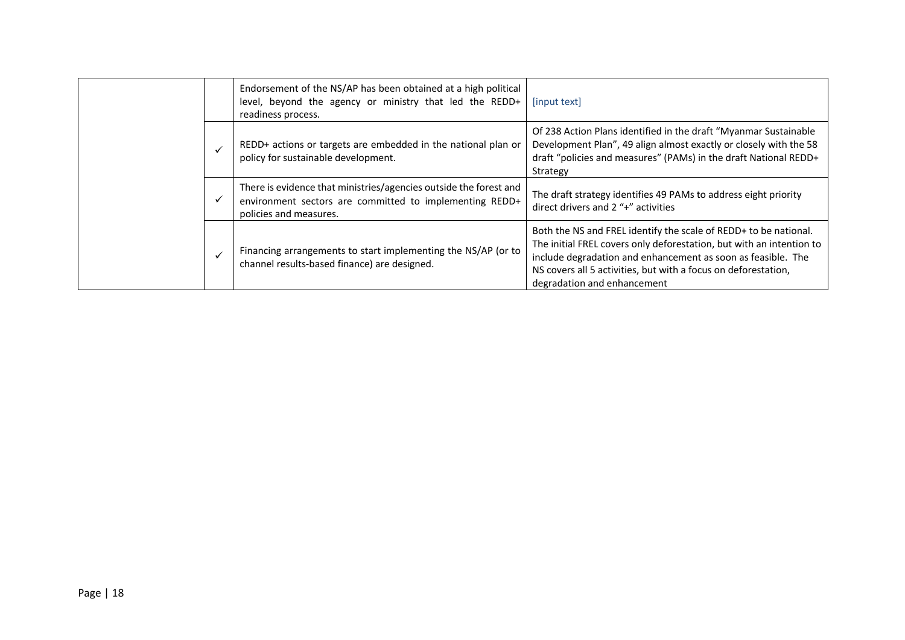|  | Endorsement of the NS/AP has been obtained at a high political<br>level, beyond the agency or ministry that led the REDD+<br>readiness process.        | [input text]                                                                                                                                                                                                                                                                                              |
|--|--------------------------------------------------------------------------------------------------------------------------------------------------------|-----------------------------------------------------------------------------------------------------------------------------------------------------------------------------------------------------------------------------------------------------------------------------------------------------------|
|  | REDD+ actions or targets are embedded in the national plan or<br>policy for sustainable development.                                                   | Of 238 Action Plans identified in the draft "Myanmar Sustainable<br>Development Plan", 49 align almost exactly or closely with the 58<br>draft "policies and measures" (PAMs) in the draft National REDD+<br>Strategy                                                                                     |
|  | There is evidence that ministries/agencies outside the forest and<br>environment sectors are committed to implementing REDD+<br>policies and measures. | The draft strategy identifies 49 PAMs to address eight priority<br>direct drivers and 2 "+" activities                                                                                                                                                                                                    |
|  | Financing arrangements to start implementing the NS/AP (or to<br>channel results-based finance) are designed.                                          | Both the NS and FREL identify the scale of REDD+ to be national.<br>The initial FREL covers only deforestation, but with an intention to<br>include degradation and enhancement as soon as feasible. The<br>NS covers all 5 activities, but with a focus on deforestation,<br>degradation and enhancement |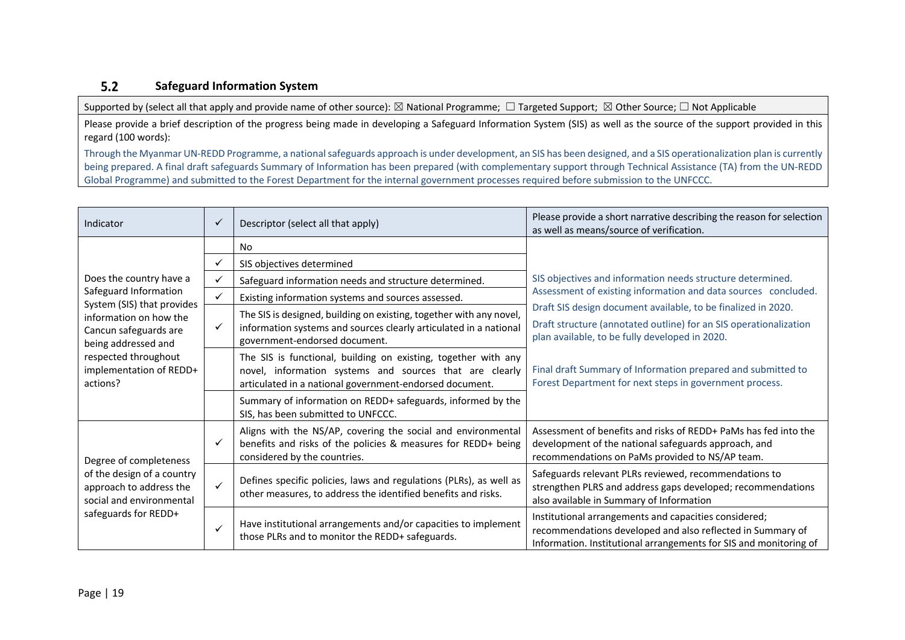#### $5.2$ **Safeguard Information System**

Supported by (select all that apply and provide name of other source):  $\boxtimes$  National Programme;  $\Box$  Targeted Support;  $\boxtimes$  Other Source;  $\Box$  Not Applicable

Please provide a brief description of the progress being made in developing a Safeguard Information System (SIS) as well as the source of the support provided in this regard (100 words):

Through the Myanmar UN-REDD Programme, a national safeguards approach is under development, an SIS has been designed, and a SIS operationalization plan is currently being prepared. A final draft safeguards Summary of Information has been prepared (with complementary support through Technical Assistance (TA) from the UN-REDD Global Programme) and submitted to the Forest Department for the internal government processes required before submission to the UNFCCC.

| Indicator                                                                                                                                                           | $\checkmark$                                                                                                                                                                              | Descriptor (select all that apply)                                                                                                                                                   | Please provide a short narrative describing the reason for selection<br>as well as means/source of verification.                                                                         |  |  |
|---------------------------------------------------------------------------------------------------------------------------------------------------------------------|-------------------------------------------------------------------------------------------------------------------------------------------------------------------------------------------|--------------------------------------------------------------------------------------------------------------------------------------------------------------------------------------|------------------------------------------------------------------------------------------------------------------------------------------------------------------------------------------|--|--|
|                                                                                                                                                                     |                                                                                                                                                                                           | <b>No</b>                                                                                                                                                                            |                                                                                                                                                                                          |  |  |
|                                                                                                                                                                     | ✓                                                                                                                                                                                         | SIS objectives determined                                                                                                                                                            |                                                                                                                                                                                          |  |  |
| Does the country have a                                                                                                                                             | $\checkmark$                                                                                                                                                                              | Safeguard information needs and structure determined.                                                                                                                                | SIS objectives and information needs structure determined.                                                                                                                               |  |  |
| Safeguard Information                                                                                                                                               |                                                                                                                                                                                           | Existing information systems and sources assessed.                                                                                                                                   | Assessment of existing information and data sources concluded.                                                                                                                           |  |  |
| System (SIS) that provides<br>information on how the<br>Cancun safeguards are<br>being addressed and<br>respected throughout<br>implementation of REDD+<br>actions? | The SIS is designed, building on existing, together with any novel,<br>$\checkmark$<br>information systems and sources clearly articulated in a national<br>government-endorsed document. |                                                                                                                                                                                      | Draft SIS design document available, to be finalized in 2020.<br>Draft structure (annotated outline) for an SIS operationalization<br>plan available, to be fully developed in 2020.     |  |  |
|                                                                                                                                                                     |                                                                                                                                                                                           | The SIS is functional, building on existing, together with any<br>novel, information systems and sources that are clearly<br>articulated in a national government-endorsed document. | Final draft Summary of Information prepared and submitted to<br>Forest Department for next steps in government process.                                                                  |  |  |
|                                                                                                                                                                     |                                                                                                                                                                                           | Summary of information on REDD+ safeguards, informed by the<br>SIS, has been submitted to UNFCCC.                                                                                    |                                                                                                                                                                                          |  |  |
| Degree of completeness<br>of the design of a country<br>approach to address the<br>social and environmental<br>safeguards for REDD+                                 | ✓                                                                                                                                                                                         | Aligns with the NS/AP, covering the social and environmental<br>benefits and risks of the policies & measures for REDD+ being<br>considered by the countries.                        | Assessment of benefits and risks of REDD+ PaMs has fed into the<br>development of the national safeguards approach, and<br>recommendations on PaMs provided to NS/AP team.               |  |  |
|                                                                                                                                                                     | $\checkmark$                                                                                                                                                                              | Defines specific policies, laws and regulations (PLRs), as well as<br>other measures, to address the identified benefits and risks.                                                  | Safeguards relevant PLRs reviewed, recommendations to<br>strengthen PLRS and address gaps developed; recommendations<br>also available in Summary of Information                         |  |  |
|                                                                                                                                                                     | $\checkmark$                                                                                                                                                                              | Have institutional arrangements and/or capacities to implement<br>those PLRs and to monitor the REDD+ safeguards.                                                                    | Institutional arrangements and capacities considered;<br>recommendations developed and also reflected in Summary of<br>Information. Institutional arrangements for SIS and monitoring of |  |  |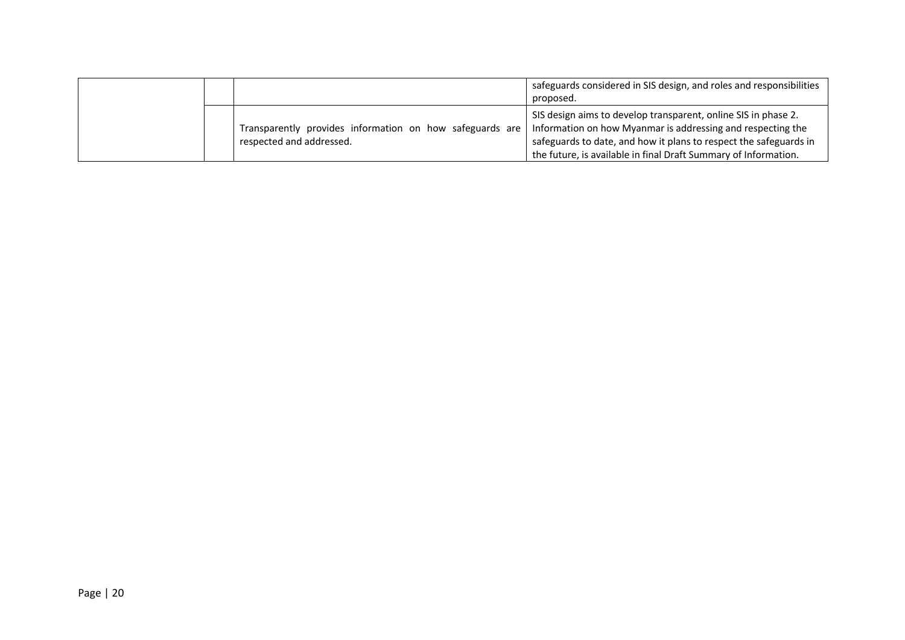|  |                                                                                      | safeguards considered in SIS design, and roles and responsibilities<br>proposed.                                                                                                                                                                                      |
|--|--------------------------------------------------------------------------------------|-----------------------------------------------------------------------------------------------------------------------------------------------------------------------------------------------------------------------------------------------------------------------|
|  | Transparently provides information on how safeguards are<br>respected and addressed. | SIS design aims to develop transparent, online SIS in phase 2.<br>Information on how Myanmar is addressing and respecting the<br>safeguards to date, and how it plans to respect the safeguards in<br>the future, is available in final Draft Summary of Information. |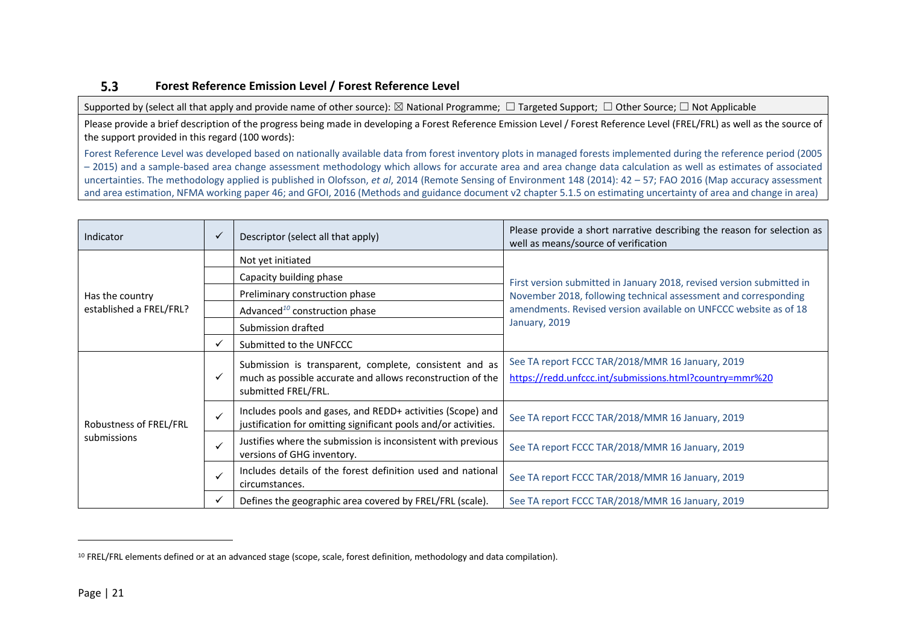#### $5.3$ **Forest Reference Emission Level / Forest Reference Level**

Supported by (select all that apply and provide name of other source):  $\boxtimes$  National Programme;  $\Box$  Targeted Support;  $\Box$  Other Source;  $\Box$  Not Applicable

Please provide a brief description of the progress being made in developing a Forest Reference Emission Level / Forest Reference Level (FREL/FRL) as well as the source of the support provided in this regard (100 words):

Forest Reference Level was developed based on nationally available data from forest inventory plots in managed forests implemented during the reference period (2005 – 2015) and a sample-based area change assessment methodology which allows for accurate area and area change data calculation as well as estimates of associated uncertainties. The methodology applied is published in Olofsson, *et al*, 2014 (Remote Sensing of Environment 148 (2014): 42 – 57; FAO 2016 (Map accuracy assessment and area estimation, NFMA working paper 46; and GFOI, 2016 (Methods and guidance document v2 chapter 5.1.5 on estimating uncertainty of area and change in area)

| Indicator                             |   | Please provide a short narrative describing the reason for selection as<br>Descriptor (select all that apply)<br>well as means/source of verification |                                                                                                                                                                                                                               |  |
|---------------------------------------|---|-------------------------------------------------------------------------------------------------------------------------------------------------------|-------------------------------------------------------------------------------------------------------------------------------------------------------------------------------------------------------------------------------|--|
|                                       |   | Not yet initiated                                                                                                                                     | First version submitted in January 2018, revised version submitted in<br>November 2018, following technical assessment and corresponding<br>amendments. Revised version available on UNFCCC website as of 18<br>January, 2019 |  |
|                                       |   | Capacity building phase                                                                                                                               |                                                                                                                                                                                                                               |  |
| Has the country                       |   | Preliminary construction phase                                                                                                                        |                                                                                                                                                                                                                               |  |
| established a FREL/FRL?               |   | Advanced <sup>10</sup> construction phase                                                                                                             |                                                                                                                                                                                                                               |  |
|                                       |   | Submission drafted                                                                                                                                    |                                                                                                                                                                                                                               |  |
|                                       |   | Submitted to the UNFCCC                                                                                                                               |                                                                                                                                                                                                                               |  |
| Robustness of FREL/FRL<br>submissions |   | Submission is transparent, complete, consistent and as<br>much as possible accurate and allows reconstruction of the<br>submitted FREL/FRL.           | See TA report FCCC TAR/2018/MMR 16 January, 2019<br>https://redd.unfccc.int/submissions.html?country=mmr%20                                                                                                                   |  |
|                                       |   | Includes pools and gases, and REDD+ activities (Scope) and<br>justification for omitting significant pools and/or activities.                         | See TA report FCCC TAR/2018/MMR 16 January, 2019                                                                                                                                                                              |  |
|                                       | ✓ | Justifies where the submission is inconsistent with previous<br>versions of GHG inventory.                                                            | See TA report FCCC TAR/2018/MMR 16 January, 2019                                                                                                                                                                              |  |
|                                       |   | Includes details of the forest definition used and national<br>circumstances.                                                                         | See TA report FCCC TAR/2018/MMR 16 January, 2019                                                                                                                                                                              |  |
|                                       |   | Defines the geographic area covered by FREL/FRL (scale).                                                                                              | See TA report FCCC TAR/2018/MMR 16 January, 2019                                                                                                                                                                              |  |

<sup>10</sup> FREL/FRL elements defined or at an advanced stage (scope, scale, forest definition, methodology and data compilation).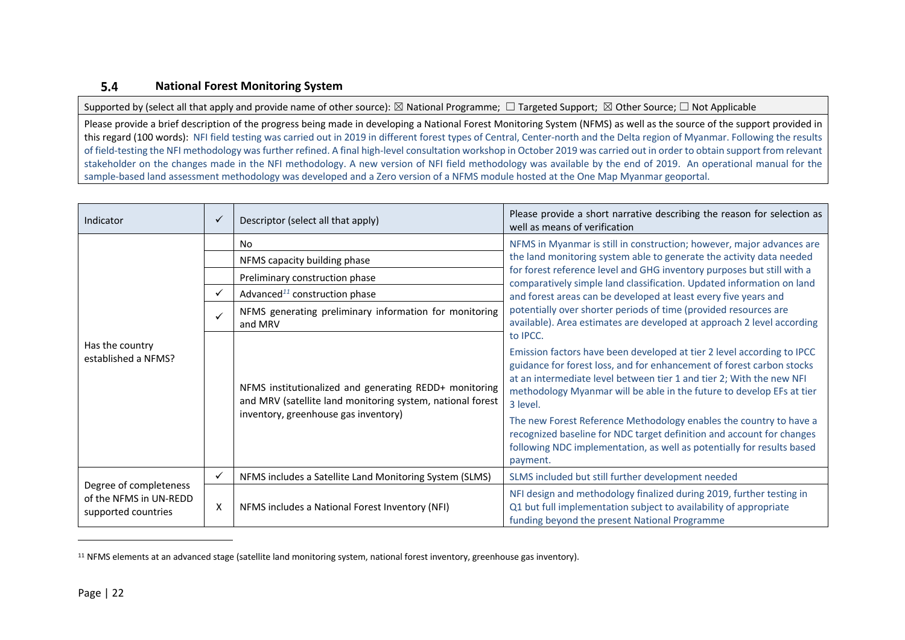#### $5.4$ **National Forest Monitoring System**

Supported by (select all that apply and provide name of other source):  $\boxtimes$  National Programme;  $\Box$  Targeted Support;  $\boxtimes$  Other Source;  $\Box$  Not Applicable

Please provide a brief description of the progress being made in developing a National Forest Monitoring System (NFMS) as well as the source of the support provided in this regard (100 words): NFI field testing was carried out in 2019 in different forest types of Central, Center-north and the Delta region of Myanmar. Following the results of field-testing the NFI methodology was further refined. A final high-level consultation workshop in October 2019 was carried out in order to obtain support from relevant stakeholder on the changes made in the NFI methodology. A new version of NFI field methodology was available by the end of 2019. An operational manual for the sample-based land assessment methodology was developed and a Zero version of a NFMS module hosted at the One Map Myanmar geoportal.

| Indicator                                                               | $\checkmark$ | Descriptor (select all that apply)                                                                                                                           | Please provide a short narrative describing the reason for selection as<br>well as means of verification                                                                                                                                                                                                                                                                                                                                                                                                                                                                                                                                                                                                                                                                                                                                                                                                                                                                                                                                                                           |  |
|-------------------------------------------------------------------------|--------------|--------------------------------------------------------------------------------------------------------------------------------------------------------------|------------------------------------------------------------------------------------------------------------------------------------------------------------------------------------------------------------------------------------------------------------------------------------------------------------------------------------------------------------------------------------------------------------------------------------------------------------------------------------------------------------------------------------------------------------------------------------------------------------------------------------------------------------------------------------------------------------------------------------------------------------------------------------------------------------------------------------------------------------------------------------------------------------------------------------------------------------------------------------------------------------------------------------------------------------------------------------|--|
|                                                                         |              | No                                                                                                                                                           | NFMS in Myanmar is still in construction; however, major advances are<br>the land monitoring system able to generate the activity data needed<br>for forest reference level and GHG inventory purposes but still with a<br>comparatively simple land classification. Updated information on land<br>and forest areas can be developed at least every five years and<br>potentially over shorter periods of time (provided resources are<br>available). Area estimates are developed at approach 2 level according<br>to IPCC.<br>Emission factors have been developed at tier 2 level according to IPCC<br>guidance for forest loss, and for enhancement of forest carbon stocks<br>at an intermediate level between tier 1 and tier 2; With the new NFI<br>methodology Myanmar will be able in the future to develop EFs at tier<br>3 level.<br>The new Forest Reference Methodology enables the country to have a<br>recognized baseline for NDC target definition and account for changes<br>following NDC implementation, as well as potentially for results based<br>payment. |  |
|                                                                         |              | NFMS capacity building phase                                                                                                                                 |                                                                                                                                                                                                                                                                                                                                                                                                                                                                                                                                                                                                                                                                                                                                                                                                                                                                                                                                                                                                                                                                                    |  |
|                                                                         |              | Preliminary construction phase                                                                                                                               |                                                                                                                                                                                                                                                                                                                                                                                                                                                                                                                                                                                                                                                                                                                                                                                                                                                                                                                                                                                                                                                                                    |  |
|                                                                         | ✓            | Advanced <sup>11</sup> construction phase                                                                                                                    |                                                                                                                                                                                                                                                                                                                                                                                                                                                                                                                                                                                                                                                                                                                                                                                                                                                                                                                                                                                                                                                                                    |  |
| Has the country<br>established a NFMS?                                  | $\checkmark$ | NFMS generating preliminary information for monitoring<br>and MRV                                                                                            |                                                                                                                                                                                                                                                                                                                                                                                                                                                                                                                                                                                                                                                                                                                                                                                                                                                                                                                                                                                                                                                                                    |  |
|                                                                         |              | NFMS institutionalized and generating REDD+ monitoring<br>and MRV (satellite land monitoring system, national forest<br>inventory, greenhouse gas inventory) |                                                                                                                                                                                                                                                                                                                                                                                                                                                                                                                                                                                                                                                                                                                                                                                                                                                                                                                                                                                                                                                                                    |  |
| Degree of completeness<br>of the NFMS in UN-REDD<br>supported countries | $\checkmark$ | NFMS includes a Satellite Land Monitoring System (SLMS)                                                                                                      | SLMS included but still further development needed                                                                                                                                                                                                                                                                                                                                                                                                                                                                                                                                                                                                                                                                                                                                                                                                                                                                                                                                                                                                                                 |  |
|                                                                         | X            | NFMS includes a National Forest Inventory (NFI)                                                                                                              | NFI design and methodology finalized during 2019, further testing in<br>Q1 but full implementation subject to availability of appropriate<br>funding beyond the present National Programme                                                                                                                                                                                                                                                                                                                                                                                                                                                                                                                                                                                                                                                                                                                                                                                                                                                                                         |  |

<sup>11</sup> NFMS elements at an advanced stage (satellite land monitoring system, national forest inventory, greenhouse gas inventory).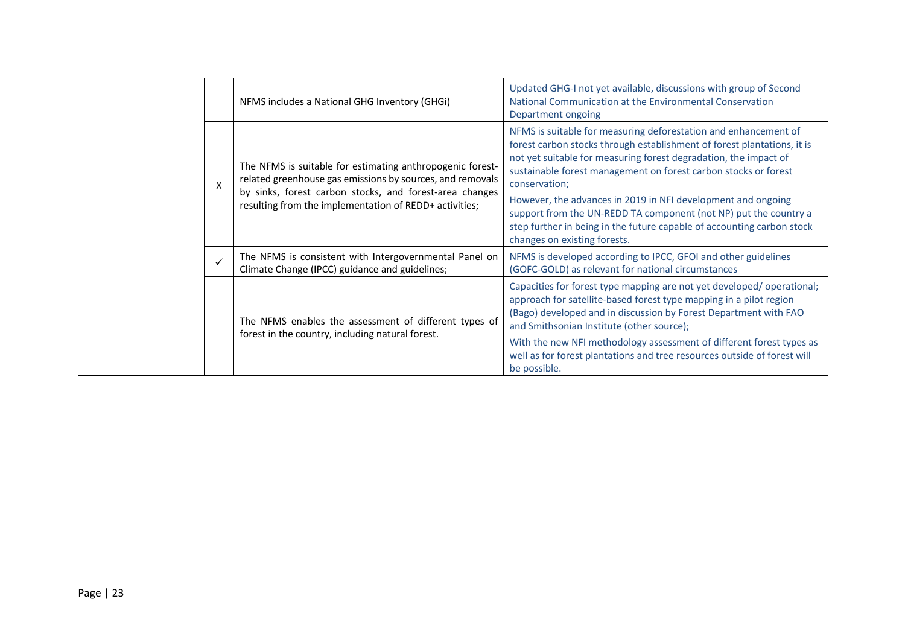|   | NFMS includes a National GHG Inventory (GHGi)                                                                                                                                                                                               | Updated GHG-I not yet available, discussions with group of Second<br>National Communication at the Environmental Conservation<br>Department ongoing                                                                                                                                                |
|---|---------------------------------------------------------------------------------------------------------------------------------------------------------------------------------------------------------------------------------------------|----------------------------------------------------------------------------------------------------------------------------------------------------------------------------------------------------------------------------------------------------------------------------------------------------|
| X | The NFMS is suitable for estimating anthropogenic forest-<br>related greenhouse gas emissions by sources, and removals<br>by sinks, forest carbon stocks, and forest-area changes<br>resulting from the implementation of REDD+ activities; | NFMS is suitable for measuring deforestation and enhancement of<br>forest carbon stocks through establishment of forest plantations, it is<br>not yet suitable for measuring forest degradation, the impact of<br>sustainable forest management on forest carbon stocks or forest<br>conservation; |
|   |                                                                                                                                                                                                                                             | However, the advances in 2019 in NFI development and ongoing<br>support from the UN-REDD TA component (not NP) put the country a<br>step further in being in the future capable of accounting carbon stock<br>changes on existing forests.                                                         |
|   | The NFMS is consistent with Intergovernmental Panel on<br>Climate Change (IPCC) guidance and guidelines;                                                                                                                                    | NFMS is developed according to IPCC, GFOI and other guidelines<br>(GOFC-GOLD) as relevant for national circumstances                                                                                                                                                                               |
|   | The NFMS enables the assessment of different types of<br>forest in the country, including natural forest.                                                                                                                                   | Capacities for forest type mapping are not yet developed/operational;<br>approach for satellite-based forest type mapping in a pilot region<br>(Bago) developed and in discussion by Forest Department with FAO<br>and Smithsonian Institute (other source);                                       |
|   |                                                                                                                                                                                                                                             | With the new NFI methodology assessment of different forest types as<br>well as for forest plantations and tree resources outside of forest will<br>be possible.                                                                                                                                   |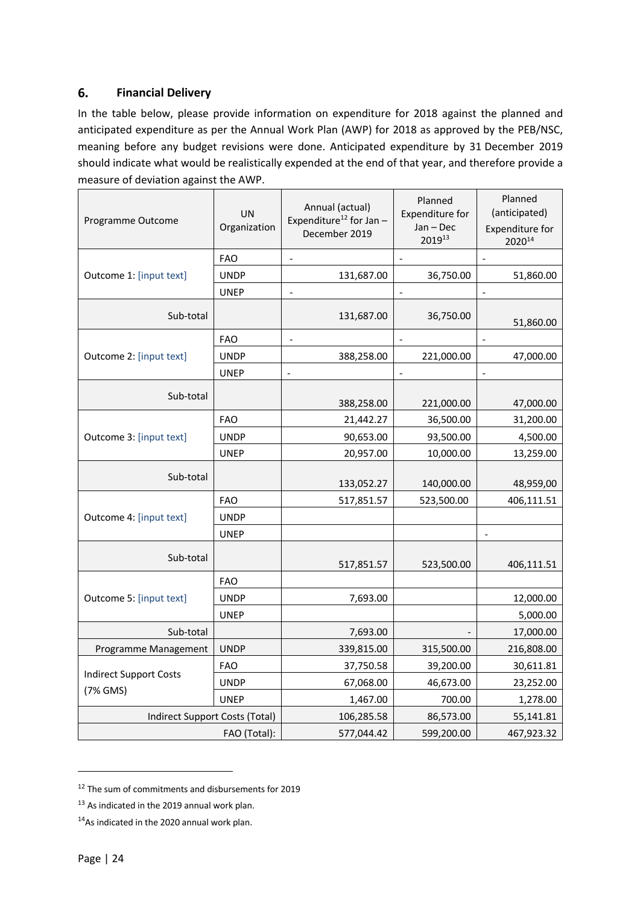#### 6. **Financial Delivery**

In the table below, please provide information on expenditure for 2018 against the planned and anticipated expenditure as per the Annual Work Plan (AWP) for 2018 as approved by the PEB/NSC, meaning before any budget revisions were done. Anticipated expenditure by 31 December 2019 should indicate what would be realistically expended at the end of that year, and therefore provide a measure of deviation against the AWP.

| Programme Outcome              | UN<br>Organization | Annual (actual)<br>Expenditure <sup>12</sup> for Jan $-$<br>December 2019 | Planned<br>Expenditure for<br>$Jan - Dec$<br>201913 | Planned<br>(anticipated)<br>Expenditure for<br>202014 |
|--------------------------------|--------------------|---------------------------------------------------------------------------|-----------------------------------------------------|-------------------------------------------------------|
|                                | <b>FAO</b>         |                                                                           | $\blacksquare$                                      | $\frac{1}{2}$                                         |
| Outcome 1: [input text]        | <b>UNDP</b>        | 131,687.00                                                                | 36,750.00                                           | 51,860.00                                             |
|                                | <b>UNEP</b>        |                                                                           |                                                     |                                                       |
| Sub-total                      |                    | 131,687.00                                                                | 36,750.00                                           | 51,860.00                                             |
|                                | <b>FAO</b>         | $\overline{\phantom{a}}$                                                  | $\overline{\phantom{a}}$                            | $\overline{\phantom{a}}$                              |
| Outcome 2: [input text]        | <b>UNDP</b>        | 388,258.00                                                                | 221,000.00                                          | 47,000.00                                             |
|                                | <b>UNEP</b>        | $\overline{a}$                                                            |                                                     |                                                       |
| Sub-total                      |                    | 388,258.00                                                                | 221,000.00                                          | 47,000.00                                             |
|                                | <b>FAO</b>         | 21,442.27                                                                 | 36,500.00                                           | 31,200.00                                             |
| Outcome 3: [input text]        | <b>UNDP</b>        | 90,653.00                                                                 | 93,500.00                                           | 4,500.00                                              |
|                                | <b>UNEP</b>        | 20,957.00                                                                 | 10,000.00                                           | 13,259.00                                             |
| Sub-total                      |                    | 133,052.27                                                                | 140,000.00                                          | 48,959,00                                             |
|                                | <b>FAO</b>         | 517,851.57                                                                | 523,500.00                                          | 406,111.51                                            |
| Outcome 4: [input text]        | <b>UNDP</b>        |                                                                           |                                                     |                                                       |
|                                | <b>UNEP</b>        |                                                                           |                                                     |                                                       |
| Sub-total                      |                    | 517,851.57                                                                | 523,500.00                                          | 406,111.51                                            |
|                                | <b>FAO</b>         |                                                                           |                                                     |                                                       |
| Outcome 5: [input text]        | <b>UNDP</b>        | 7,693.00                                                                  |                                                     | 12,000.00                                             |
|                                | <b>UNEP</b>        |                                                                           |                                                     | 5,000.00                                              |
| Sub-total                      |                    | 7,693.00                                                                  |                                                     | 17,000.00                                             |
| Programme Management           | <b>UNDP</b>        | 339,815.00                                                                | 315,500.00                                          | 216,808.00                                            |
| <b>Indirect Support Costs</b>  | <b>FAO</b>         | 37,750.58                                                                 | 39,200.00                                           | 30,611.81                                             |
| (7% GMS)                       | <b>UNDP</b>        | 67,068.00                                                                 | 46,673.00                                           | 23,252.00                                             |
|                                | <b>UNEP</b>        | 1,467.00                                                                  | 700.00                                              | 1,278.00                                              |
| Indirect Support Costs (Total) |                    | 106,285.58                                                                | 86,573.00                                           | 55,141.81                                             |
|                                | FAO (Total):       | 577,044.42                                                                | 599,200.00                                          | 467,923.32                                            |

<sup>&</sup>lt;sup>12</sup> The sum of commitments and disbursements for 2019

<sup>&</sup>lt;sup>13</sup> As indicated in the 2019 annual work plan.

<sup>&</sup>lt;sup>14</sup>As indicated in the 2020 annual work plan.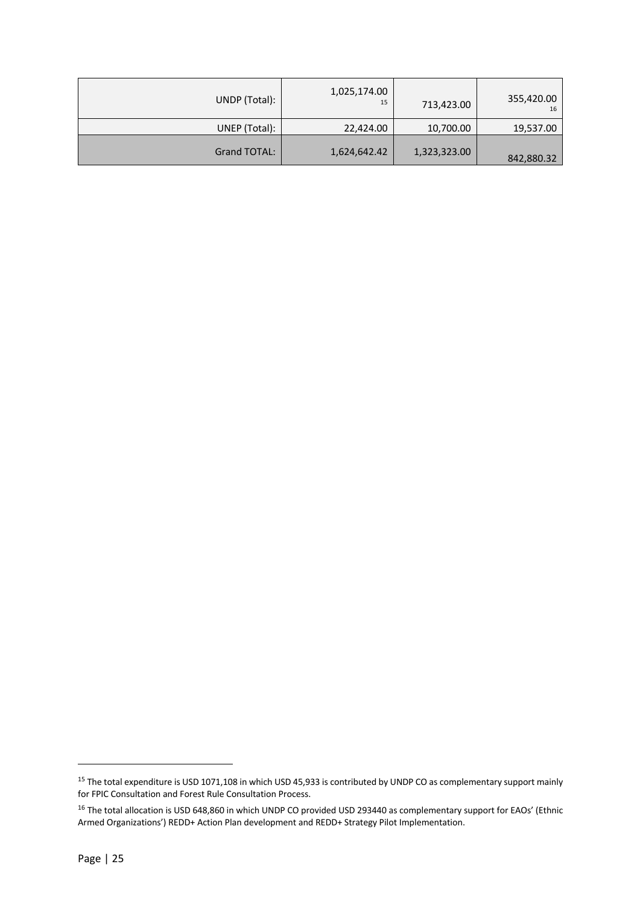| UNDP (Total): | 1,025,174.00<br>15 | 713,423.00   | 355,420.00<br>16 |
|---------------|--------------------|--------------|------------------|
| UNEP (Total): | 22,424.00          | 10,700.00    | 19,537.00        |
| Grand TOTAL:  | 1,624,642.42       | 1,323,323.00 | 842,880.32       |

<sup>&</sup>lt;sup>15</sup> The total expenditure is USD 1071,108 in which USD 45,933 is contributed by UNDP CO as complementary support mainly for FPIC Consultation and Forest Rule Consultation Process.

 $^{16}$  The total allocation is USD 648,860 in which UNDP CO provided USD 293440 as complementary support for EAOs' (Ethnic Armed Organizations') REDD+ Action Plan development and REDD+ Strategy Pilot Implementation.